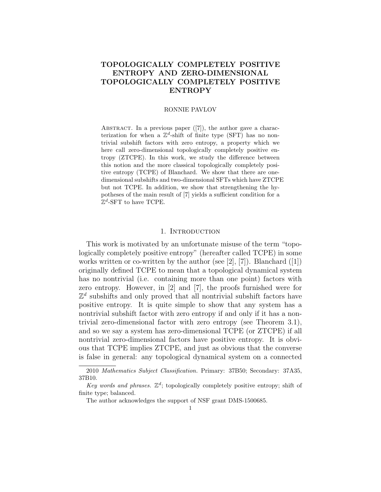# TOPOLOGICALLY COMPLETELY POSITIVE ENTROPY AND ZERO-DIMENSIONAL TOPOLOGICALLY COMPLETELY POSITIVE ENTROPY

#### RONNIE PAVLOV

ABSTRACT. In a previous paper  $([7])$ , the author gave a characterization for when a  $\mathbb{Z}^d$ -shift of finite type (SFT) has no nontrivial subshift factors with zero entropy, a property which we here call zero-dimensional topologically completely positive entropy (ZTCPE). In this work, we study the difference between this notion and the more classical topologically completely positive entropy (TCPE) of Blanchard. We show that there are onedimensional subshifts and two-dimensional SFTs which have ZTCPE but not TCPE. In addition, we show that strengthening the hypotheses of the main result of [7] yields a sufficient condition for a  $\mathbb{Z}^d$ -SFT to have TCPE.

#### 1. INTRODUCTION

This work is motivated by an unfortunate misuse of the term "topologically completely positive entropy" (hereafter called TCPE) in some works written or co-written by the author (see [2], [7]). Blanchard ([1]) originally defined TCPE to mean that a topological dynamical system has no nontrivial (i.e. containing more than one point) factors with zero entropy. However, in [2] and [7], the proofs furnished were for  $\mathbb{Z}^d$  subshifts and only proved that all nontrivial subshift factors have positive entropy. It is quite simple to show that any system has a nontrivial subshift factor with zero entropy if and only if it has a nontrivial zero-dimensional factor with zero entropy (see Theorem 3.1), and so we say a system has zero-dimensional TCPE (or ZTCPE) if all nontrivial zero-dimensional factors have positive entropy. It is obvious that TCPE implies ZTCPE, and just as obvious that the converse is false in general: any topological dynamical system on a connected

<sup>2010</sup> Mathematics Subject Classification. Primary: 37B50; Secondary: 37A35, 37B10.

Key words and phrases.  $\mathbb{Z}^d$ ; topologically completely positive entropy; shift of finite type; balanced.

The author acknowledges the support of NSF grant DMS-1500685.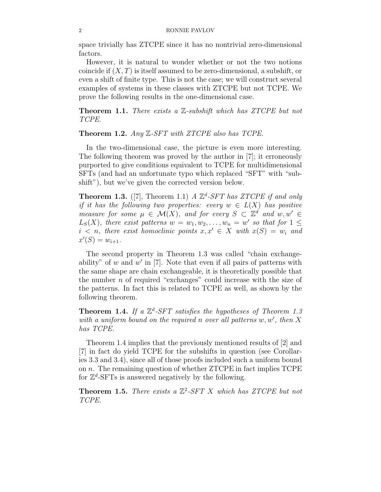space trivially has ZTCPE since it has no nontrivial zero-dimensional factors.

However, it is natural to wonder whether or not the two notions coincide if  $(X, T)$  is itself assumed to be zero-dimensional, a subshift, or even a shift of finite type. This is not the case; we will construct several examples of systems in these classes with ZTCPE but not TCPE. We prove the following results in the one-dimensional case.

Theorem 1.1. *There exists a* Z*-subshift which has ZTCPE but not TCPE.*

Theorem 1.2. *Any* Z*-SFT with ZTCPE also has TCPE.*

In the two-dimensional case, the picture is even more interesting. The following theorem was proved by the author in [7]; it erroneously purported to give conditions equivalent to TCPE for multidimensional SFTs (and had an unfortunate typo which replaced "SFT" with "subshift"), but we've given the corrected version below.

**Theorem 1.3.** ([7], Theorem 1.1) *A*  $\mathbb{Z}^d$ -*SFT has ZTCPE if and only if it has the following two properties: every*  $w \in L(X)$  *has positive measure for some*  $\mu \in \mathcal{M}(X)$ , and for every  $S \subset \mathbb{Z}^d$  and  $w, w' \in$  $L_S(X)$ , there exist patterns  $w = w_1, w_2, \ldots, w_n = w'$  so that for  $1 \leq$  $i < n$ , there exist homoclinic points  $x, x' \in X$  with  $x(S) = w_i$  and  $x'(S) = w_{i+1}.$ 

The second property in Theorem 1.3 was called "chain exchangeability" of  $w$  and  $w'$  in [7]. Note that even if all pairs of patterns with the same shape are chain exchangeable, it is theoretically possible that the number  $n$  of required "exchanges" could increase with the size of the patterns. In fact this is related to TCPE as well, as shown by the following theorem.

**Theorem 1.4.** If a  $\mathbb{Z}^d$ -SFT satisfies the hypotheses of Theorem 1.3 *with a uniform bound on the required* n *over all patterns* w, w′ *, then* X *has TCPE.*

Theorem 1.4 implies that the previously mentioned results of [2] and [7] in fact do yield TCPE for the subshifts in question (see Corollaries 3.3 and 3.4), since all of those proofs included such a uniform bound on  $n$ . The remaining question of whether ZTCPE in fact implies TCPE for  $\mathbb{Z}^d$ -SFTs is answered negatively by the following.

Theorem 1.5. *There exists a* Z 2 *-SFT* X *which has ZTCPE but not TCPE.*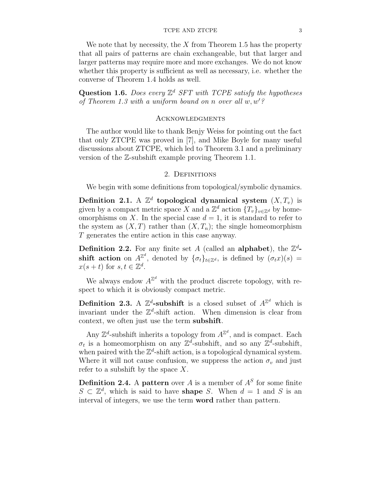#### TCPE AND ZTCPE 3

We note that by necessity, the  $X$  from Theorem 1.5 has the property that all pairs of patterns are chain exchangeable, but that larger and larger patterns may require more and more exchanges. We do not know whether this property is sufficient as well as necessary, i.e. whether the converse of Theorem 1.4 holds as well.

Question 1.6. *Does every*  $\mathbb{Z}^d$  *SFT* with *TCPE* satisfy the hypotheses *of Theorem 1.3 with a uniform bound on* n *over all* w, w′*?*

## **ACKNOWLEDGMENTS**

The author would like to thank Benjy Weiss for pointing out the fact that only ZTCPE was proved in [7], and Mike Boyle for many useful discussions about ZTCPE, which led to Theorem 3.1 and a preliminary version of the Z-subshift example proving Theorem 1.1.

## 2. DEFINITIONS

We begin with some definitions from topological/symbolic dynamics.

Definition 2.1. A  $\mathbb{Z}^d$  topological dynamical system  $(X,T_v)$  is given by a compact metric space X and a  $\mathbb{Z}^d$  action  $\{T_v\}_{v \in \mathbb{Z}^d}$  by homeomorphisms on X. In the special case  $d = 1$ , it is standard to refer to the system as  $(X, T)$  rather than  $(X, T_n)$ ; the single homeomorphism T generates the entire action in this case anyway.

**Definition 2.2.** For any finite set A (called an **alphabet**), the  $\mathbb{Z}^d$ **shift action** on  $A^{\mathbb{Z}^d}$ , denoted by  $\{\sigma_t\}_{t\in\mathbb{Z}^d}$ , is defined by  $(\sigma_t x)(s) =$  $x(s+t)$  for  $s,t \in \mathbb{Z}^d$ .

We always endow  $A^{\mathbb{Z}^d}$  with the product discrete topology, with respect to which it is obviously compact metric.

**Definition 2.3.** A  $\mathbb{Z}^d$ -subshift is a closed subset of  $A^{\mathbb{Z}^d}$  which is invariant under the  $\mathbb{Z}^d$ -shift action. When dimension is clear from context, we often just use the term subshift.

Any  $\mathbb{Z}^d$ -subshift inherits a topology from  $A^{\mathbb{Z}^d}$ , and is compact. Each  $\sigma_t$  is a homeomorphism on any  $\mathbb{Z}^d$ -subshift, and so any  $\mathbb{Z}^d$ -subshift, when paired with the  $\mathbb{Z}^d$ -shift action, is a topological dynamical system. Where it will not cause confusion, we suppress the action  $\sigma_v$  and just refer to a subshift by the space  $X$ .

**Definition 2.4.** A **pattern** over A is a member of  $A<sup>S</sup>$  for some finite  $S \subset \mathbb{Z}^d$ , which is said to have **shape** S. When  $d = 1$  and S is an interval of integers, we use the term word rather than pattern.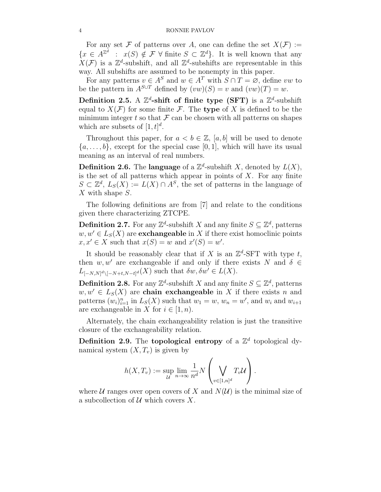For any set F of patterns over A, one can define the set  $X(\mathcal{F}) :=$  $\{x \in A^{\mathbb{Z}^d} : x(S) \notin \mathcal{F} \,\forall\,\,\text{finite}\,\,S \subset \mathbb{Z}^d\}.$  It is well known that any  $X(\mathcal{F})$  is a  $\mathbb{Z}^d$ -subshift, and all  $\mathbb{Z}^d$ -subshifts are representable in this way. All subshifts are assumed to be nonempty in this paper.

For any patterns  $v \in A^S$  and  $w \in A^T$  with  $S \cap T = \emptyset$ , define vw to be the pattern in  $A^{S\cup T}$  defined by  $(vw)(S) = v$  and  $(vw)(T) = w$ .

Definition 2.5. A  $\mathbb{Z}^d$ -shift of finite type (SFT) is a  $\mathbb{Z}^d$ -subshift equal to  $X(\mathcal{F})$  for some finite  $\mathcal{F}$ . The type of X is defined to be the minimum integer t so that  $\mathcal F$  can be chosen with all patterns on shapes which are subsets of  $[1, t]^d$ .

Throughout this paper, for  $a < b \in \mathbb{Z}$ , [a, b] will be used to denote  $\{a, \ldots, b\}$ , except for the special case [0, 1], which will have its usual meaning as an interval of real numbers.

**Definition 2.6.** The **language** of a  $\mathbb{Z}^d$ -subshift X, denoted by  $L(X)$ , is the set of all patterns which appear in points of  $X$ . For any finite  $S \subset \mathbb{Z}^d$ ,  $L_S(X) := L(X) \cap A^S$ , the set of patterns in the language of X with shape S.

The following definitions are from [7] and relate to the conditions given there characterizing ZTCPE.

**Definition 2.7.** For any  $\mathbb{Z}^d$ -subshift X and any finite  $S \subseteq \mathbb{Z}^d$ , patterns  $w, w' \in L_S(X)$  are **exchangeable** in X if there exist homoclinic points  $x, x' \in X$  such that  $x(S) = w$  and  $x'(S) = w'$ .

It should be reasonably clear that if X is an  $\mathbb{Z}^d$ -SFT with type t, then w, w' are exchangeable if and only if there exists N and  $\delta \in$  $L_{[-N,N]^d \setminus [-N+t,N-t]^d}(X)$  such that  $\delta w, \delta w' \in L(X)$ .

**Definition 2.8.** For any  $\mathbb{Z}^d$ -subshift X and any finite  $S \subseteq \mathbb{Z}^d$ , patterns  $w, w' \in L_S(X)$  are chain exchangeable in X if there exists n and patterns  $(w_i)_{i=1}^n$  in  $L_S(X)$  such that  $w_1 = w$ ,  $w_n = w'$ , and  $w_i$  and  $w_{i+1}$ are exchangeable in X for  $i \in [1, n)$ .

Alternately, the chain exchangeability relation is just the transitive closure of the exchangeability relation.

**Definition 2.9.** The **topological entropy** of a  $\mathbb{Z}^d$  topological dynamical system  $(X, T_v)$  is given by

$$
h(X,T_v) := \sup_{\mathcal{U}} \lim_{n \to \infty} \frac{1}{n^d} N\left(\bigvee_{v \in [1,n]^d} T_v \mathcal{U}\right).
$$

where U ranges over open covers of X and  $N(U)$  is the minimal size of a subcollection of  $U$  which covers X.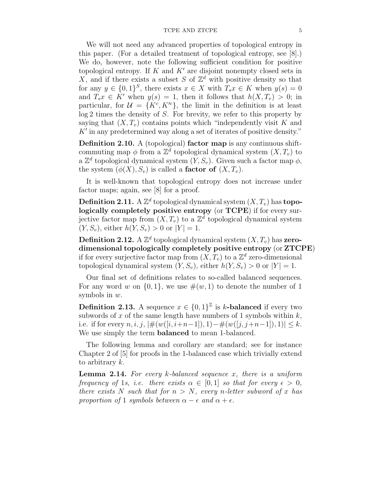#### $\sqrt{5}$  TCPE AND ZTCPE  $\sqrt{5}$

We will not need any advanced properties of topological entropy in this paper. (For a detailed treatment of topological entropy, see [8].) We do, however, note the following sufficient condition for positive topological entropy. If  $K$  and  $K'$  are disjoint nonempty closed sets in X, and if there exists a subset S of  $\mathbb{Z}^d$  with positive density so that for any  $y \in \{0,1\}^S$ , there exists  $x \in X$  with  $T_s x \in K$  when  $y(s) = 0$ and  $T_s x \in K'$  when  $y(s) = 1$ , then it follows that  $h(X,T_v) > 0$ ; in particular, for  $\mathcal{U} = \{K^c, K'^c\}$ , the limit in the definition is at least log 2 times the density of S. For brevity, we refer to this property by saying that  $(X, T_v)$  contains points which "independently visit K and K' in any predetermined way along a set of iterates of positive density."

Definition 2.10. A (topological) factor map is any continuous shiftcommuting map  $\phi$  from a  $\mathbb{Z}^d$  topological dynamical system  $(X, T_v)$  to a  $\mathbb{Z}^d$  topological dynamical system  $(Y, S_v)$ . Given such a factor map  $\phi$ , the system  $(\phi(X), S_v)$  is called a **factor of**  $(X, T_v)$ .

It is well-known that topological entropy does not increase under factor maps; again, see [8] for a proof.

**Definition 2.11.** A  $\mathbb{Z}^d$  topological dynamical system  $(X, T_v)$  has topologically completely positive entropy (or TCPE) if for every surjective factor map from  $(X, T_v)$  to a  $\mathbb{Z}^d$  topological dynamical system  $(Y, S_v)$ , either  $h(Y, S_v) > 0$  or  $|Y| = 1$ .

**Definition 2.12.** A  $\mathbb{Z}^d$  topological dynamical system  $(X, T_v)$  has zerodimensional topologically completely positive entropy (or ZTCPE) if for every surjective factor map from  $(X, T_v)$  to a  $\mathbb{Z}^d$  zero-dimensional topological dynamical system  $(Y, S_v)$ , either  $h(Y, S_v) > 0$  or  $|Y| = 1$ .

Our final set of definitions relates to so-called balanced sequences. For any word w on  $\{0,1\}$ , we use  $\#(w,1)$  to denote the number of 1 symbols in w.

**Definition 2.13.** A sequence  $x \in \{0,1\}^{\mathbb{Z}}$  is k-balanced if every two subwords of  $x$  of the same length have numbers of 1 symbols within  $k$ , i.e. if for every  $n, i, j, \, | \#(w([i, i+n-1]), 1) - \#(w([j, j+n-1]), 1)| \leq k$ . We use simply the term balanced to mean 1-balanced.

The following lemma and corollary are standard; see for instance Chapter 2 of [5] for proofs in the 1-balanced case which trivially extend to arbitrary k.

Lemma 2.14. *For every* k*-balanced sequence* x*, there is a uniform frequency of* 1*s, i.e. there exists*  $\alpha \in [0, 1]$  *so that for every*  $\epsilon > 0$ *, there exists* N *such that for*  $n > N$ *, every n*-letter *subword* of x has *proportion of* 1 *symbols between*  $\alpha - \epsilon$  *and*  $\alpha + \epsilon$ *.*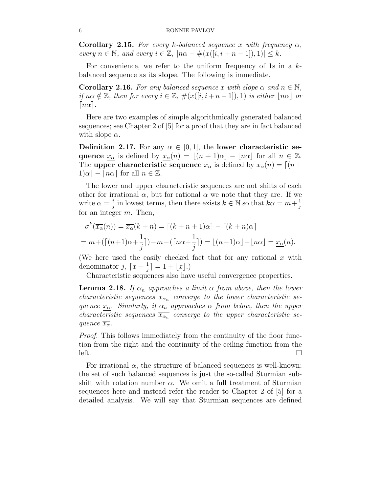Corollary 2.15. *For every* k*-balanced sequence* x *with frequency* α*, every*  $n \in \mathbb{N}$ , and every  $i \in \mathbb{Z}$ ,  $|n\alpha - \#(x([i, i + n-1]), 1)| \leq k$ .

For convenience, we refer to the uniform frequency of 1s in a  $k$ balanced sequence as its slope. The following is immediate.

**Corollary 2.16.** For any balanced sequence x with slope  $\alpha$  and  $n \in \mathbb{N}$ , *if*  $n\alpha \notin \mathbb{Z}$ *, then for every*  $i \in \mathbb{Z}$ *,*  $\#(x([i, i+n-1]), 1)$  *is either*  $|n\alpha|$  *or*  $|n\alpha|$ .

Here are two examples of simple algorithmically generated balanced sequences; see Chapter 2 of [5] for a proof that they are in fact balanced with slope  $\alpha$ .

Definition 2.17. For any  $\alpha \in [0,1]$ , the lower characteristic sequence  $x_{\alpha}$  is defined by  $x_{\alpha}(n) = \lfloor (n+1)\alpha \rfloor - \lfloor n\alpha \rfloor$  for all  $n \in \mathbb{Z}$ . The upper characteristic sequence  $\overline{x_{\alpha}}$  is defined by  $\overline{x_{\alpha}}(n) = [(n +$  $1)\alpha$  –  $[n\alpha]$  for all  $n \in \mathbb{Z}$ .

The lower and upper characteristic sequences are not shifts of each other for irrational  $\alpha$ , but for rational  $\alpha$  we note that they are. If we write  $\alpha = \frac{i}{i}$  $\frac{i}{j}$  in lowest terms, then there exists  $k \in \mathbb{N}$  so that  $k\alpha = m + \frac{1}{j}$ j for an integer m. Then,

$$
\sigma^k(\overline{x_\alpha}(n)) = \overline{x_\alpha}(k+n) = \left[ (k+n+1)\alpha \right] - \left[ (k+n)\alpha \right]
$$

$$
= m + \left( \left[ (n+1)\alpha + \frac{1}{j} \right] \right) - m - \left( \left[ n\alpha + \frac{1}{j} \right] \right) = \left[ (n+1)\alpha \right] - \left[ n\alpha \right] = \underline{x_\alpha}(n).
$$

(We here used the easily checked fact that for any rational  $x$  with denominator j,  $\lceil x + \frac{1}{i} \rceil$  $\frac{1}{j}$ ] = 1 +  $\lfloor x \rfloor$ .)

Characteristic sequences also have useful convergence properties.

**Lemma 2.18.** *If*  $\alpha_n$  *approaches a limit*  $\alpha$  *from above, then the lower characteristic sequences*  $x_{\alpha_n}$  *converge to the lower characteristic sequence*  $x_{\alpha}$ *. Similarly, if*  $\overline{\alpha_n}$  *approaches*  $\alpha$  *from below, then the upper characteristic sequences*  $\overline{x_{\alpha_n}}$  *converge to the upper characteristic sequence*  $\overline{x_{\alpha}}$ *.* 

*Proof.* This follows immediately from the continuity of the floor function from the right and the continuity of the ceiling function from the  $\qquad \qquad$  left.

For irrational  $\alpha$ , the structure of balanced sequences is well-known; the set of such balanced sequences is just the so-called Sturmian subshift with rotation number  $\alpha$ . We omit a full treatment of Sturmian sequences here and instead refer the reader to Chapter 2 of [5] for a detailed analysis. We will say that Sturmian sequences are defined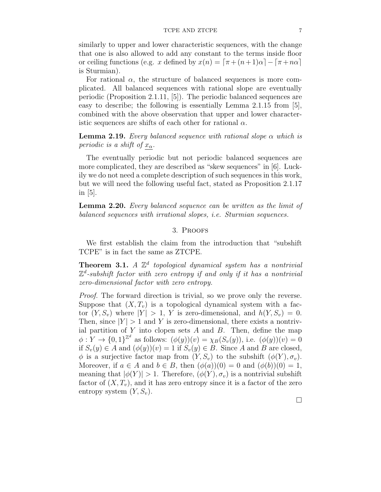similarly to upper and lower characteristic sequences, with the change that one is also allowed to add any constant to the terms inside floor or ceiling functions (e.g. x defined by  $x(n) = [\pi + (n+1)\alpha] - [\pi + n\alpha]$ is Sturmian).

For rational  $\alpha$ , the structure of balanced sequences is more complicated. All balanced sequences with rational slope are eventually periodic (Proposition 2.1.11, [5]). The periodic balanced sequences are easy to describe; the following is essentially Lemma 2.1.15 from [5], combined with the above observation that upper and lower characteristic sequences are shifts of each other for rational  $\alpha$ .

Lemma 2.19. *Every balanced sequence with rational slope* α *which is periodic is a shift of*  $x_{\alpha}$ *.* 

The eventually periodic but not periodic balanced sequences are more complicated, they are described as "skew sequences" in [6]. Luckily we do not need a complete description of such sequences in this work, but we will need the following useful fact, stated as Proposition 2.1.17 in [5].

Lemma 2.20. *Every balanced sequence can be written as the limit of balanced sequences with irrational slopes, i.e. Sturmian sequences.*

## 3. Proofs

We first establish the claim from the introduction that "subshift TCPE" is in fact the same as ZTCPE.

Theorem 3.1. *A* Z d *topological dynamical system has a nontrivial* Z d *-subshift factor with zero entropy if and only if it has a nontrivial zero-dimensional factor with zero entropy.*

*Proof.* The forward direction is trivial, so we prove only the reverse. Suppose that  $(X, T_v)$  is a topological dynamical system with a factor  $(Y, S_v)$  where  $|Y| > 1$ , Y is zero-dimensional, and  $h(Y, S_v) = 0$ . Then, since  $|Y| > 1$  and Y is zero-dimensional, there exists a nontrivial partition of  $Y$  into clopen sets  $A$  and  $B$ . Then, define the map  $\phi: Y \to \{0,1\}^{\mathbb{Z}^d}$  as follows:  $(\phi(y))(v) = \chi_B(S_v(y)),$  i.e.  $(\phi(y))(v) = 0$ if  $S_v(y) \in A$  and  $(\phi(y))(v) = 1$  if  $S_v(y) \in B$ . Since A and B are closed,  $\phi$  is a surjective factor map from  $(Y, S_v)$  to the subshift  $(\phi(Y), \sigma_v)$ . Moreover, if  $a \in A$  and  $b \in B$ , then  $(\phi(a))(0) = 0$  and  $(\phi(b))(0) = 1$ , meaning that  $|\phi(Y)| > 1$ . Therefore,  $(\phi(Y), \sigma_v)$  is a nontrivial subshift factor of  $(X, T_v)$ , and it has zero entropy since it is a factor of the zero entropy system  $(Y, S_v)$ .

 $\Box$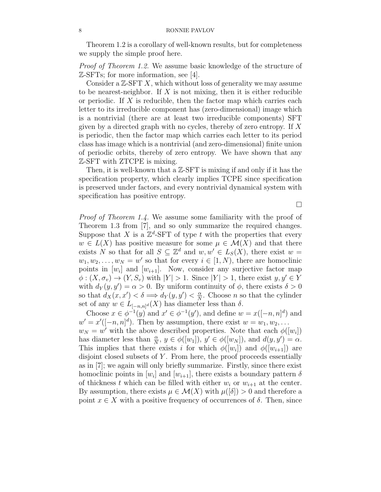Theorem 1.2 is a corollary of well-known results, but for completeness we supply the simple proof here.

*Proof of Theorem 1.2.* We assume basic knowledge of the structure of Z-SFTs; for more information, see [4].

Consider a  $\mathbb{Z}\text{-}SFT X$ , which without loss of generality we may assume to be nearest-neighbor. If  $X$  is not mixing, then it is either reducible or periodic. If  $X$  is reducible, then the factor map which carries each letter to its irreducible component has (zero-dimensional) image which is a nontrivial (there are at least two irreducible components) SFT given by a directed graph with no cycles, thereby of zero entropy. If  $X$ is periodic, then the factor map which carries each letter to its period class has image which is a nontrivial (and zero-dimensional) finite union of periodic orbits, thereby of zero entropy. We have shown that any Z-SFT with ZTCPE is mixing.

Then, it is well-known that a  $\mathbb{Z}\text{-}SFT$  is mixing if and only if it has the specification property, which clearly implies TCPE since specification is preserved under factors, and every nontrivial dynamical system with specification has positive entropy.

 $\Box$ 

*Proof of Theorem 1.4.* We assume some familiarity with the proof of Theorem 1.3 from [7], and so only summarize the required changes. Suppose that X is a  $\mathbb{Z}^d$ -SFT of type t with the properties that every  $w \in L(X)$  has positive measure for some  $\mu \in \mathcal{M}(X)$  and that there exists N so that for all  $S \subseteq \mathbb{Z}^d$  and  $w, w' \in L_S(X)$ , there exist  $w =$  $w_1, w_2, \ldots, w_N = w'$  so that for every  $i \in [1, N)$ , there are homoclinic points in  $[w_i]$  and  $[w_{i+1}]$ . Now, consider any surjective factor map  $\phi: (X, \sigma_v) \to (Y, S_v)$  with  $|Y| > 1$ . Since  $|Y| > 1$ , there exist  $y, y' \in Y$ with  $d_Y(y, y') = \alpha > 0$ . By uniform continuity of  $\phi$ , there exists  $\delta > 0$ so that  $d_X(x, x') < \delta \Longrightarrow d_Y(y, y') < \frac{\alpha}{N}$  $\frac{\alpha}{N}$ . Choose *n* so that the cylinder set of any  $w \in L_{[-n,n]^d}(X)$  has diameter less than  $\delta$ .

Choose  $x \in \phi^{-1}(y)$  and  $x' \in \phi^{-1}(y')$ , and define  $w = x([-n, n]^d)$  and  $w' = x'([-n, n]^d)$ . Then by assumption, there exist  $w = w_1, w_2, \dots$  $w_N = w'$  with the above described properties. Note that each  $\phi([w_i])$ has diameter less than  $\frac{\alpha}{N}$ ,  $y \in \phi([w_1])$ ,  $y' \in \phi([w_N])$ , and  $d(y, y') = \alpha$ . This implies that there exists i for which  $\phi([w_i])$  and  $\phi([w_{i+1}])$  are disjoint closed subsets of  $Y$ . From here, the proof proceeds essentially as in [7]; we again will only briefly summarize. Firstly, since there exist homoclinic points in  $[w_i]$  and  $[w_{i+1}]$ , there exists a boundary pattern  $\delta$ of thickness t which can be filled with either  $w_i$  or  $w_{i+1}$  at the center. By assumption, there exists  $\mu \in \mathcal{M}(X)$  with  $\mu([\delta]) > 0$  and therefore a point  $x \in X$  with a positive frequency of occurrences of  $\delta$ . Then, since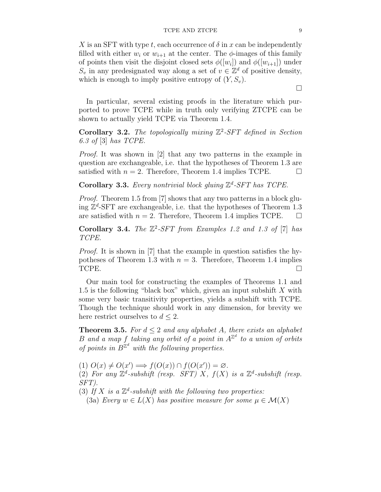X is an SFT with type t, each occurrence of  $\delta$  in x can be independently filled with either  $w_i$  or  $w_{i+1}$  at the center. The  $\phi$ -images of this family of points then visit the disjoint closed sets  $\phi([w_i])$  and  $\phi([w_{i+1}])$  under  $S_v$  in any predesignated way along a set of  $v \in \mathbb{Z}^d$  of positive density, which is enough to imply positive entropy of  $(Y, S_v)$ .

In particular, several existing proofs in the literature which purported to prove TCPE while in truth only verifying ZTCPE can be shown to actually yield TCPE via Theorem 1.4.

Corollary 3.2. The topologically mixing  $\mathbb{Z}^2$ -SFT defined in Section *6.3 of* [3] *has TCPE.*

*Proof.* It was shown in [2] that any two patterns in the example in question are exchangeable, i.e. that the hypotheses of Theorem 1.3 are satisfied with  $n = 2$ . Therefore, Theorem 1.4 implies TCPE.

Corollary 3.3. *Every nontrivial block gluing* Z d *-SFT has TCPE.*

*Proof.* Theorem 1.5 from [7] shows that any two patterns in a block gluing  $\mathbb{Z}^d$ -SFT are exchangeable, i.e. that the hypotheses of Theorem 1.3 are satisfied with  $n = 2$ . Therefore, Theorem 1.4 implies TCPE.  $\Box$ 

Corollary 3.4. *The*  $\mathbb{Z}^2$ -SFT from Examples 1.2 and 1.3 of [7] has *TCPE.*

*Proof.* It is shown in [7] that the example in question satisfies the hypotheses of Theorem 1.3 with  $n = 3$ . Therefore, Theorem 1.4 implies TCPE.

Our main tool for constructing the examples of Theorems 1.1 and 1.5 is the following "black box" which, given an input subshift  $X$  with some very basic transitivity properties, yields a subshift with TCPE. Though the technique should work in any dimension, for brevity we here restrict ourselves to  $d \leq 2$ .

**Theorem 3.5.** For  $d \leq 2$  and any alphabet A, there exists an alphabet  $B$  and a map  $f$  taking any orbit of a point in  $A^{\mathbb{Z}^d}$  to a union of orbits of points in  $B^{\mathbb{Z}^d}$  with the following properties.

(1)  $O(x) \neq O(x') \Longrightarrow f(O(x)) \cap f(O(x')) = \varnothing$ . (2) For any  $\mathbb{Z}^d$ -subshift (resp. SFT) X,  $f(X)$  is a  $\mathbb{Z}^d$ -subshift (resp.

*SFT).*

(3) If  $X$  is a  $\mathbb{Z}^d$ -subshift with the following two properties:

(3a) *Every*  $w \in L(X)$  *has positive measure for some*  $\mu \in \mathcal{M}(X)$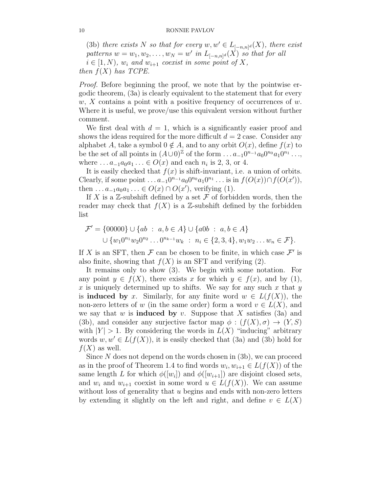(3b) *there exists* N *so that for every*  $w, w' \in L_{[-n,n]^d}(X)$ *, there exist*  $patterns w = w_1, w_2, \ldots, w_N = w' \text{ in } L_{[-n,n]^d}(X) \text{ so that for all }$  $i \in [1, N)$ ,  $w_i$  and  $w_{i+1}$  coexist in some point of X, *then*  $f(X)$  *has TCPE.* 

*Proof.* Before beginning the proof, we note that by the pointwise ergodic theorem, (3a) is clearly equivalent to the statement that for every  $w, X$  contains a point with a positive frequency of occurrences of  $w$ . Where it is useful, we prove/use this equivalent version without further comment.

We first deal with  $d = 1$ , which is a significantly easier proof and shows the ideas required for the more difficult  $d = 2$  case. Consider any alphabet A, take a symbol  $0 \notin A$ , and to any orbit  $O(x)$ , define  $f(x)$  to be the set of all points in  $(A\cup 0)^{\mathbb{Z}}$  of the form  $\dots a_{-1}0^{n-1}a_00^{n_0}a_10^{n_1}\dots$ where  $\dots a_{-1}a_0a_1\dots \in O(x)$  and each  $n_i$  is 2, 3, or 4.

It is easily checked that  $f(x)$  is shift-invariant, i.e. a union of orbits. Clearly, if some point  $\dots a_{-1}0^{n-1}a_00^{n_0}a_10^{n_1}\dots$  is in  $f(O(x)) \cap f(O(x'))$ , then  $\dots a_{-1}a_0a_1\dots \in O(x) \cap O(x')$ , verifying (1).

If X is a Z-subshift defined by a set  $\mathcal F$  of forbidden words, then the reader may check that  $f(X)$  is a Z-subshift defined by the forbidden list

$$
\mathcal{F}' = \{00000\} \cup \{ab : a, b \in A\} \cup \{a0b : a, b \in A\}
$$
  

$$
\cup \{w_10^{n_1}w_20^{n_2} \dots 0^{n_{k-1}}w_k : n_i \in \{2, 3, 4\}, w_1w_2\dots w_n \in \mathcal{F}\}.
$$

If X is an SFT, then  $\mathcal F$  can be chosen to be finite, in which case  $\mathcal F'$  is also finite, showing that  $f(X)$  is an SFT and verifying (2).

It remains only to show (3). We begin with some notation. For any point  $y \in f(X)$ , there exists x for which  $y \in f(x)$ , and by (1), x is uniquely determined up to shifts. We say for any such x that y is **induced** by x. Similarly, for any finite word  $w \in L(f(X))$ , the non-zero letters of w (in the same order) form a word  $v \in L(X)$ , and we say that w is **induced** by v. Suppose that X satisfies  $(3a)$  and (3b), and consider any surjective factor map  $\phi : (f(X), \sigma) \to (Y, S)$ with  $|Y| > 1$ . By considering the words in  $L(X)$  "inducing" arbitrary words  $w, w' \in L(f(X))$ , it is easily checked that (3a) and (3b) hold for  $f(X)$  as well.

Since  $N$  does not depend on the words chosen in  $(3b)$ , we can proceed as in the proof of Theorem 1.4 to find words  $w_i, w_{i+1} \in L(f(X))$  of the same length L for which  $\phi([w_i])$  and  $\phi([w_{i+1}])$  are disjoint closed sets, and  $w_i$  and  $w_{i+1}$  coexist in some word  $u \in L(f(X))$ . We can assume without loss of generality that  $u$  begins and ends with non-zero letters by extending it slightly on the left and right, and define  $v \in L(X)$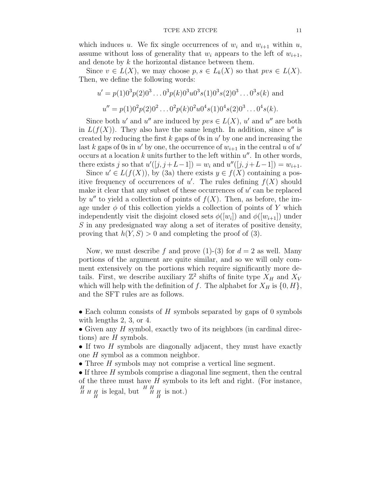#### TCPE AND ZTCPE 11

which induces u. We fix single occurrences of  $w_i$  and  $w_{i+1}$  within u, assume without loss of generality that  $w_i$  appears to the left of  $w_{i+1}$ , and denote by k the horizontal distance between them.

Since  $v \in L(X)$ , we may choose  $p, s \in L_k(X)$  so that  $pvs \in L(X)$ . Then, we define the following words:

$$
u' = p(1)03p(2)03...03p(k)03u03s(1)03s(2)03...03s(k) and
$$
  

$$
u'' = p(1)02p(2)02...02p(k)02u04s(1)04s(2)03...04s(k).
$$

Since both u' and u'' are induced by  $pvs \in L(X)$ , u' and u'' are both in  $L(f(X))$ . They also have the same length. In addition, since  $u''$  is created by reducing the first  $k$  gaps of 0s in  $u'$  by one and increasing the last k gaps of 0s in  $u'$  by one, the occurrence of  $w_{i+1}$  in the central u of  $u'$ occurs at a location  $k$  units further to the left within  $u''$ . In other words, there exists j so that  $u'([j, j+L-1]) = w_i$  and  $u''([j, j+L-1]) = w_{i+1}$ .

Since  $u' \in L(f(X))$ , by (3a) there exists  $y \in f(X)$  containing a positive frequency of occurrences of  $u'$ . The rules defining  $f(X)$  should make it clear that any subset of these occurrences of  $u'$  can be replaced by  $u''$  to yield a collection of points of  $f(X)$ . Then, as before, the image under  $\phi$  of this collection yields a collection of points of Y which independently visit the disjoint closed sets  $\phi([w_i])$  and  $\phi([w_{i+1}])$  under S in any predesignated way along a set of iterates of positive density, proving that  $h(Y, S) > 0$  and completing the proof of (3).

Now, we must describe f and prove (1)-(3) for  $d = 2$  as well. Many portions of the argument are quite similar, and so we will only comment extensively on the portions which require significantly more details. First, we describe auxiliary  $\mathbb{Z}^2$  shifts of finite type  $X_H$  and  $X_V$ which will help with the definition of f. The alphabet for  $X_H$  is  $\{0, H\}$ , and the SFT rules are as follows.

• Each column consists of  $H$  symbols separated by gaps of 0 symbols with lengths 2, 3, or 4.

• Given any  $H$  symbol, exactly two of its neighbors (in cardinal directions) are  $H$  symbols.

• If two  $H$  symbols are diagonally adjacent, they must have exactly one H symbol as a common neighbor.

• Three  $H$  symbols may not comprise a vertical line segment.

• If three  $H$  symbols comprise a diagonal line segment, then the central of the three must have  $H$  symbols to its left and right. (For instance,  $H H H H$  is legal, but  $H H H H$  is not.)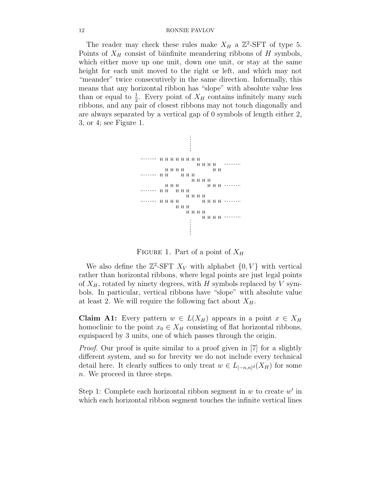The reader may check these rules make  $X_H$  a  $\mathbb{Z}^2$ -SFT of type 5. Points of  $X_H$  consist of biinfinite meandering ribbons of H symbols, which either move up one unit, down one unit, or stay at the same height for each unit moved to the right or left, and which may not "meander" twice consecutively in the same direction. Informally, this means that any horizontal ribbon has "slope" with absolute value less than or equal to  $\frac{1}{2}$ . Every point of  $X_H$  contains infinitely many such ribbons, and any pair of closest ribbons may not touch diagonally and are always separated by a vertical gap of 0 symbols of length either 2, 3, or 4; see Figure 1.



FIGURE 1. Part of a point of  $X_H$ 

We also define the  $\mathbb{Z}^2$ -SFT  $X_V$  with alphabet  $\{0, V\}$  with vertical rather than horizontal ribbons, where legal points are just legal points of  $X_H$ , rotated by ninety degrees, with H symbols replaced by V symbols. In particular, vertical ribbons have "slope" with absolute value at least 2. We will require the following fact about  $X_H$ .

Claim A1: Every pattern  $w \in L(X_H)$  appears in a point  $x \in X_H$ homoclinic to the point  $x_0 \in X_H$  consisting of flat horizontal ribbons, equispaced by 3 units, one of which passes through the origin.

*Proof.* Our proof is quite similar to a proof given in [7] for a slightly different system, and so for brevity we do not include every technical detail here. It clearly suffices to only treat  $w \in L_{[-n,n]^d}(X_H)$  for some n. We proceed in three steps.

Step 1: Complete each horizontal ribbon segment in  $w$  to create  $w'$  in which each horizontal ribbon segment touches the infinite vertical lines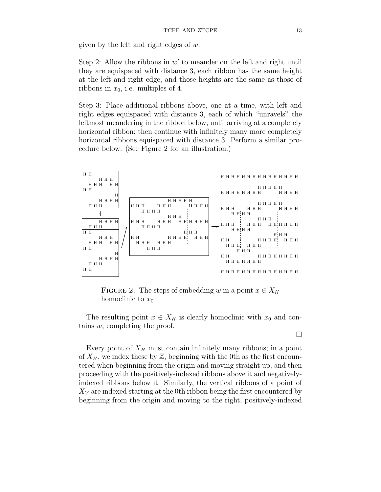given by the left and right edges of  $w$ .

Step 2: Allow the ribbons in  $w'$  to meander on the left and right until they are equispaced with distance 3, each ribbon has the same height at the left and right edge, and those heights are the same as those of ribbons in  $x_0$ , i.e. multiples of 4.

Step 3: Place additional ribbons above, one at a time, with left and right edges equispaced with distance 3, each of which "unravels" the leftmost meandering in the ribbon below, until arriving at a completely horizontal ribbon; then continue with infinitely many more completely horizontal ribbons equispaced with distance 3. Perform a similar procedure below. (See Figure 2 for an illustration.)



FIGURE 2. The steps of embedding w in a point  $x \in X_H$ homoclinic to  $x_0$ 

The resulting point  $x \in X_H$  is clearly homoclinic with  $x_0$  and contains w, completing the proof.

 $\Box$ Every point of  $X_H$  must contain infinitely many ribbons; in a point of  $X_H$ , we index these by  $\mathbb{Z}$ , beginning with the 0th as the first encountered when beginning from the origin and moving straight up, and then proceeding with the positively-indexed ribbons above it and negativelyindexed ribbons below it. Similarly, the vertical ribbons of a point of  $X_V$  are indexed starting at the 0th ribbon being the first encountered by beginning from the origin and moving to the right, positively-indexed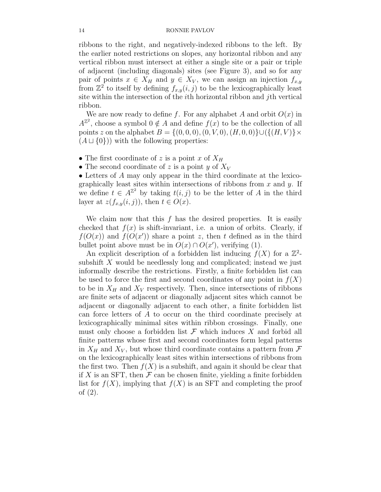ribbons to the right, and negatively-indexed ribbons to the left. By the earlier noted restrictions on slopes, any horizontal ribbon and any vertical ribbon must intersect at either a single site or a pair or triple of adjacent (including diagonals) sites (see Figure 3), and so for any pair of points  $x \in X_H$  and  $y \in X_V$ , we can assign an injection  $f_{x,y}$ from  $\mathbb{Z}^2$  to itself by defining  $f_{x,y}(i,j)$  to be the lexicographically least site within the intersection of the ith horizontal ribbon and jth vertical ribbon.

We are now ready to define f. For any alphabet A and orbit  $O(x)$  in  $A^{\mathbb{Z}^2}$ , choose a symbol  $0 \notin A$  and define  $f(x)$  to be the collection of all points z on the alphabet  $B = \{(0, 0, 0), (0, V, 0), (H, 0, 0)\}\cup (\{(H, V)\}\times$  $(A \sqcup \{0\})$  with the following properties:

- The first coordinate of z is a point x of  $X_H$
- The second coordinate of z is a point y of  $X_V$

• Letters of A may only appear in the third coordinate at the lexicographically least sites within intersections of ribbons from  $x$  and  $y$ . If we define  $t \in A^{\mathbb{Z}^2}$  by taking  $t(i, j)$  to be the letter of A in the third layer at  $z(f_{x,y}(i, j))$ , then  $t \in O(x)$ .

We claim now that this f has the desired properties. It is easily checked that  $f(x)$  is shift-invariant, i.e. a union of orbits. Clearly, if  $f(O(x))$  and  $f(O(x'))$  share a point z, then t defined as in the third bullet point above must be in  $O(x) \cap O(x')$ , verifying (1).

An explicit description of a forbidden list inducing  $f(X)$  for a  $\mathbb{Z}^2$ subshift X would be needlessly long and complicated; instead we just informally describe the restrictions. Firstly, a finite forbidden list can be used to force the first and second coordinates of any point in  $f(X)$ to be in  $X_H$  and  $X_V$  respectively. Then, since intersections of ribbons are finite sets of adjacent or diagonally adjacent sites which cannot be adjacent or diagonally adjacent to each other, a finite forbidden list can force letters of A to occur on the third coordinate precisely at lexicographically minimal sites within ribbon crossings. Finally, one must only choose a forbidden list  $\mathcal F$  which induces  $X$  and forbid all finite patterns whose first and second coordinates form legal patterns in  $X_H$  and  $X_V$ , but whose third coordinate contains a pattern from  $\mathcal F$ on the lexicographically least sites within intersections of ribbons from the first two. Then  $f(X)$  is a subshift, and again it should be clear that if X is an SFT, then  $\mathcal F$  can be chosen finite, yielding a finite forbidden list for  $f(X)$ , implying that  $f(X)$  is an SFT and completing the proof of (2).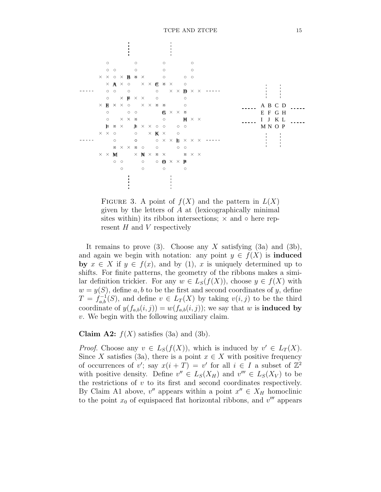

FIGURE 3. A point of  $f(X)$  and the pattern in  $L(X)$ given by the letters of A at (lexicographically minimal sites within) its ribbon intersections;  $\times$  and  $\circ$  here represent  $H$  and  $V$  respectively

It remains to prove (3). Choose any X satisfying (3a) and (3b), and again we begin with notation: any point  $y \in f(X)$  is **induced** by  $x \in X$  if  $y \in f(x)$ , and by (1), x is uniquely determined up to shifts. For finite patterns, the geometry of the ribbons makes a similar definition trickier. For any  $w \in L_S(f(X))$ , choose  $y \in f(X)$  with  $w = y(S)$ , define a, b to be the first and second coordinates of y, define  $T = f_{a,b}^{-1}(S)$ , and define  $v \in L_T(X)$  by taking  $v(i, j)$  to be the third coordinate of  $y(f_{a,b}(i, j)) = w(f_{a,b}(i, j))$ ; we say that w is **induced by** v. We begin with the following auxiliary claim.

Claim A2:  $f(X)$  satisfies (3a) and (3b).

*Proof.* Choose any  $v \in L_S(f(X))$ , which is induced by  $v' \in L_T(X)$ . Since X satisfies (3a), there is a point  $x \in X$  with positive frequency of occurrences of v'; say  $x(i+T) = v'$  for all  $i \in I$  a subset of  $\mathbb{Z}^2$ with positive density. Define  $v'' \in L_S(X_H)$  and  $v''' \in L_S(X_V)$  to be the restrictions of  $v$  to its first and second coordinates respectively. By Claim A1 above,  $v''$  appears within a point  $x'' \in X_H$  homoclinic to the point  $x_0$  of equispaced flat horizontal ribbons, and  $v'''$  appears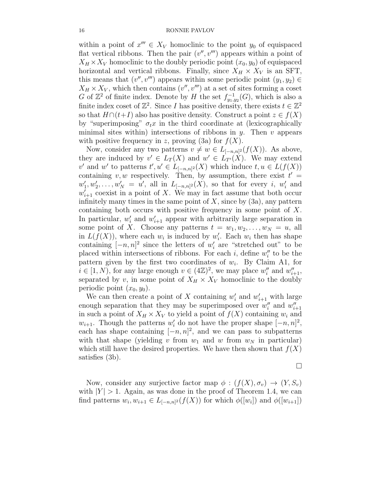within a point of  $x''' \in X_V$  homoclinic to the point  $y_0$  of equispaced flat vertical ribbons. Then the pair  $(v'', v''')$  appears within a point of  $X_H \times X_V$  homoclinic to the doubly periodic point  $(x_0, y_0)$  of equispaced horizontal and vertical ribbons. Finally, since  $X_H \times X_V$  is an SFT, this means that  $(v'', v''')$  appears within some periodic point  $(y_1, y_2) \in$  $X_H \times X_V$ , which then contains  $(v'', v''')$  at a set of sites forming a coset G of  $\mathbb{Z}^2$  of finite index. Denote by H the set  $f_{y_1,y_2}^{-1}(G)$ , which is also a finite index coset of  $\mathbb{Z}^2$ . Since I has positive density, there exists  $t \in \mathbb{Z}^2$ so that  $H \cap (t+I)$  also has positive density. Construct a point  $z \in f(X)$ by "superimposing"  $\sigma_t x$  in the third coordinate at (lexicographically minimal sites within) intersections of ribbons in  $y$ . Then  $v$  appears with positive frequency in z, proving (3a) for  $f(X)$ .

Now, consider any two patterns  $v \neq w \in L_{[-n,n]^2}(f(X))$ . As above, they are induced by  $v' \in L_T(X)$  and  $w' \in L_{T'}(X)$ . We may extend v' and w' to patterns  $t', u' \in L_{[-n,n]^2}(X)$  which induce  $t, u \in L(f(X))$ containing v, w respectively. Then, by assumption, there exist  $t' =$  $w'_1, w'_2, \ldots, w'_N = u'$ , all in  $L_{[-n,n]^2}(X)$ , so that for every i,  $w'_i$  and  $w'_{i+1}$  coexist in a point of X. We may in fact assume that both occur infinitely many times in the same point of  $X$ , since by  $(3a)$ , any pattern containing both occurs with positive frequency in some point of X. In particular,  $w'_i$  and  $w'_{i+1}$  appear with arbitrarily large separation in some point of X. Choose any patterns  $t = w_1, w_2, \ldots, w_N = u$ , all in  $L(f(X))$ , where each  $w_i$  is induced by  $w'_i$ . Each  $w_i$  then has shape containing  $[-n, n]^2$  since the letters of  $w'_i$  are "stretched out" to be placed within intersections of ribbons. For each  $i$ , define  $w''_i$  to be the pattern given by the first two coordinates of  $w_i$ . By Claim A1, for  $i \in [1, N)$ , for any large enough  $v \in (4\mathbb{Z})^2$ , we may place  $w''_i$  and  $w''_{i+1}$ , separated by v, in some point of  $X_H \times X_V$  homoclinic to the doubly periodic point  $(x_0, y_0)$ .

We can then create a point of X containing  $w'_i$  and  $w'_{i+1}$  with large enough separation that they may be superimposed over  $w_i''$  and  $w_{i+1}''$ in such a point of  $X_H \times X_V$  to yield a point of  $f(X)$  containing  $w_i$  and  $w_{i+1}$ . Though the patterns  $w'_i$  do not have the proper shape  $[-n, n]^2$ , each has shape containing  $[-n, n]^2$ , and we can pass to subpatterns with that shape (yielding v from  $w_1$  and w from  $w_N$  in particular) which still have the desired properties. We have then shown that  $f(X)$ satisfies (3b).

$$
\Box
$$

Now, consider any surjective factor map  $\phi : (f(X), \sigma_v) \to (Y, S_v)$ with  $|Y| > 1$ . Again, as was done in the proof of Theorem 1.4, we can find patterns  $w_i, w_{i+1} \in L_{[-n,n]^2}(f(X))$  for which  $\phi([w_i])$  and  $\phi([w_{i+1}])$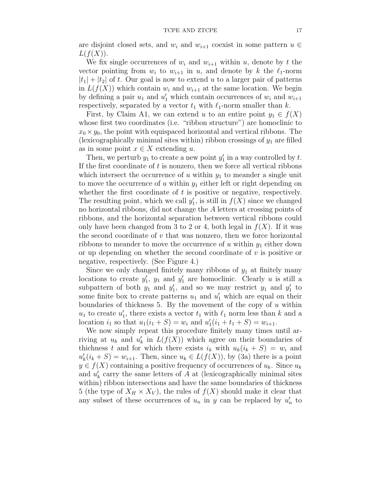are disjoint closed sets, and  $w_i$  and  $w_{i+1}$  coexist in some pattern  $u \in$  $L(f(X)).$ 

We fix single occurrences of  $w_i$  and  $w_{i+1}$  within u, denote by t the vector pointing from  $w_i$  to  $w_{i+1}$  in  $u$ , and denote by k the  $\ell_1$ -norm  $|t_1| + |t_2|$  of t. Our goal is now to extend u to a larger pair of patterns in  $L(f(X))$  which contain  $w_i$  and  $w_{i+1}$  at the same location. We begin by defining a pair  $u_1$  and  $u'_1$  which contain occurrences of  $w_i$  and  $w_{i+1}$ respectively, separated by a vector  $t_1$  with  $\ell_1$ -norm smaller than  $k$ .

First, by Claim A1, we can extend u to an entire point  $y_1 \in f(X)$ whose first two coordinates (i.e. "ribbon structure") are homoclinic to  $x_0 \times y_0$ , the point with equispaced horizontal and vertical ribbons. The (lexicographically minimal sites within) ribbon crossings of  $y_1$  are filled as in some point  $x \in X$  extending u.

Then, we perturb  $y_1$  to create a new point  $y'_1$  in a way controlled by t. If the first coordinate of  $t$  is nonzero, then we force all vertical ribbons which intersect the occurrence of  $u$  within  $y_1$  to meander a single unit to move the occurrence of u within  $y_1$  either left or right depending on whether the first coordinate of  $t$  is positive or negative, respectively. The resulting point, which we call  $y'_1$ , is still in  $f(X)$  since we changed no horizontal ribbons, did not change the A letters at crossing points of ribbons, and the horizontal separation between vertical ribbons could only have been changed from 3 to 2 or 4, both legal in  $f(X)$ . If it was the second coordinate of  $v$  that was nonzero, then we force horizontal ribbons to meander to move the occurrence of u within  $y_1$  either down or up depending on whether the second coordinate of  $v$  is positive or negative, respectively. (See Figure 4.)

Since we only changed finitely many ribbons of  $y_1$  at finitely many locations to create  $y'_1$ ,  $y_1$  and  $y'_1$  are homoclinic. Clearly u is still a subpattern of both  $y_1$  and  $y'_1$ , and so we may restrict  $y_1$  and  $y'_1$  to some finite box to create patterns  $u_1$  and  $u'_1$  which are equal on their boundaries of thickness 5. By the movement of the copy of  $u$  within  $u_1$  to create  $u'_1$ , there exists a vector  $t_1$  with  $\ell_1$  norm less than k and a location  $i_1$  so that  $u_1(i_1 + S) = w_i$  and  $u'_1(i_1 + t_1 + S) = w_{i+1}$ .

We now simply repeat this procedure finitely many times until arriving at  $u_k$  and  $u'_k$  in  $L(f(X))$  which agree on their boundaries of thichness t and for which there exists  $i_k$  with  $u_k(i_k + S) = w_i$  and  $u'_{k}(i_{k}+S) = w_{i+1}$ . Then, since  $u_{k} \in L(f(X))$ , by (3a) there is a point  $y \in f(X)$  containing a positive frequency of occurrences of  $u_k$ . Since  $u_k$ and  $u'_k$  carry the same letters of  $A$  at (lexicographically minimal sites within) ribbon intersections and have the same boundaries of thickness 5 (the type of  $X_H \times X_V$ ), the rules of  $f(X)$  should make it clear that any subset of these occurrences of  $u_n$  in y can be replaced by  $u'_n$  to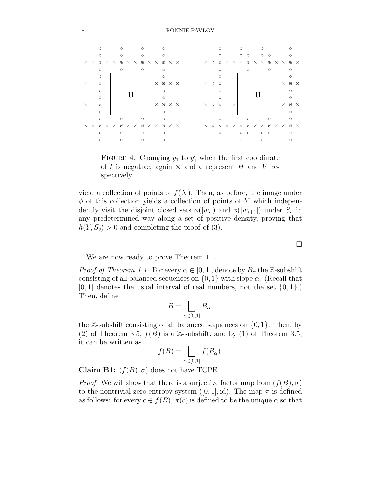

FIGURE 4. Changing  $y_1$  to  $y'_1$  when the first coordinate of t is negative; again  $\times$  and  $\circ$  represent H and V respectively

yield a collection of points of  $f(X)$ . Then, as before, the image under  $\phi$  of this collection yields a collection of points of Y which independently visit the disjoint closed sets  $\phi([w_i])$  and  $\phi([w_{i+1}])$  under  $S_v$  in any predetermined way along a set of positive density, proving that  $h(Y, S_v) > 0$  and completing the proof of (3).

We are now ready to prove Theorem 1.1.

*Proof of Theorem 1.1.* For every  $\alpha \in [0, 1]$ , denote by  $B_{\alpha}$  the Z-subshift consisting of all balanced sequences on  $\{0, 1\}$  with slope  $\alpha$ . (Recall that  $[0, 1]$  denotes the usual interval of real numbers, not the set  $\{0, 1\}$ . Then, define

$$
B=\bigsqcup_{\alpha\in[0,1]}B_{\alpha},
$$

the  $\mathbb{Z}$ -subshift consisting of all balanced sequences on  $\{0, 1\}$ . Then, by (2) of Theorem 3.5,  $f(B)$  is a Z-subshift, and by (1) of Theorem 3.5, it can be written as

$$
f(B) = \bigsqcup_{\alpha \in [0,1]} f(B_{\alpha}).
$$

Claim B1:  $(f(B), \sigma)$  does not have TCPE.

*Proof.* We will show that there is a surjective factor map from  $(f(B), \sigma)$ to the nontrivial zero entropy system  $([0, 1], id)$ . The map  $\pi$  is defined as follows: for every  $c \in f(B)$ ,  $\pi(c)$  is defined to be the unique  $\alpha$  so that

 $\Box$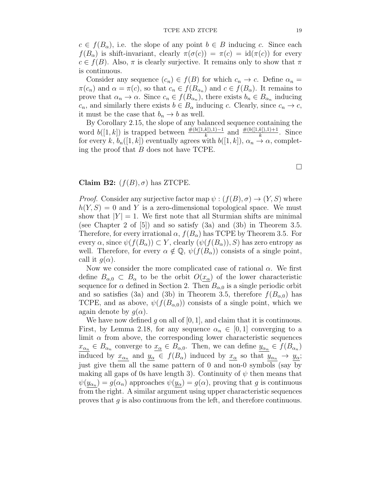$c \in f(B_\alpha)$ , i.e. the slope of any point  $b \in B$  inducing c. Since each  $f(B_{\alpha})$  is shift-invariant, clearly  $\pi(\sigma(c)) = \pi(c) = id(\pi(c))$  for every  $c \in f(B)$ . Also,  $\pi$  is clearly surjective. It remains only to show that  $\pi$ is continuous.

Consider any sequence  $(c_n) \in f(B)$  for which  $c_n \to c$ . Define  $\alpha_n =$  $\pi(c_n)$  and  $\alpha = \pi(c)$ , so that  $c_n \in f(B_{\alpha_n})$  and  $c \in f(B_{\alpha})$ . It remains to prove that  $\alpha_n \to \alpha$ . Since  $c_n \in f(B_{\alpha_n})$ , there exists  $b_n \in B_{\alpha_n}$  inducing  $c_n$ , and similarly there exists  $b \in B_\alpha$  inducing c. Clearly, since  $c_n \to c$ , it must be the case that  $b_n \to b$  as well.

By Corollary 2.15, the slope of any balanced sequence containing the word  $b([1,k])$  is trapped between  $\frac{\#(b([1,k]),1)-1}{k}$  and  $\frac{\#(b([1,k]),1)+1}{k}$ . Since for every k,  $b_n([1, k])$  eventually agrees with  $b([1, k]), \alpha_n \to \alpha$ , completing the proof that B does not have TCPE.

Claim B2:  $(f(B), \sigma)$  has ZTCPE.

*Proof.* Consider any surjective factor map  $\psi : (f(B), \sigma) \to (Y, S)$  where  $h(Y, S) = 0$  and Y is a zero-dimensional topological space. We must show that  $|Y| = 1$ . We first note that all Sturmian shifts are minimal (see Chapter 2 of [5]) and so satisfy (3a) and (3b) in Theorem 3.5. Therefore, for every irrational  $\alpha$ ,  $f(B_{\alpha})$  has TCPE by Theorem 3.5. For every  $\alpha$ , since  $\psi(f(B_{\alpha})) \subset Y$ , clearly  $(\psi(f(B_{\alpha})), S)$  has zero entropy as well. Therefore, for every  $\alpha \notin \mathbb{Q}$ ,  $\psi(f(B_{\alpha}))$  consists of a single point, call it  $q(\alpha)$ .

Now we consider the more complicated case of rational  $\alpha$ . We first define  $B_{\alpha,0} \subset B_{\alpha}$  to be the orbit  $O(x_{\alpha})$  of the lower characteristic sequence for  $\alpha$  defined in Section 2. Then  $B_{\alpha,0}$  is a single periodic orbit and so satisfies (3a) and (3b) in Theorem 3.5, therefore  $f(B_{\alpha,0})$  has TCPE, and as above,  $\psi(f(B_{\alpha,0}))$  consists of a single point, which we again denote by  $q(\alpha)$ .

We have now defined g on all of  $[0, 1]$ , and claim that it is continuous. First, by Lemma 2.18, for any sequence  $\alpha_n \in [0,1]$  converging to a limit  $\alpha$  from above, the corresponding lower characteristic sequences  $x_{\alpha_n} \in B_{\alpha_n}$  converge to  $x_{\alpha} \in B_{\alpha,0}$ . Then, we can define  $y_{\alpha_n} \in f(B_{\alpha_n})$ induced by  $x_{\alpha_n}$  and  $y_{\alpha} \in f(B_{\alpha})$  induced by  $x_{\alpha}$  so that  $y_{\alpha_n} \to y_{\alpha}$ ; just give them all the same pattern of 0 and non-0 symbols (say by making all gaps of 0s have length 3). Continuity of  $\psi$  then means that  $\psi(y_{\alpha_n}) = g(\alpha_n)$  approaches  $\psi(y_\alpha) = g(\alpha)$ , proving that g is continuous from the right. A similar argument using upper characteristic sequences proves that g is also continuous from the left, and therefore continuous.

 $\Box$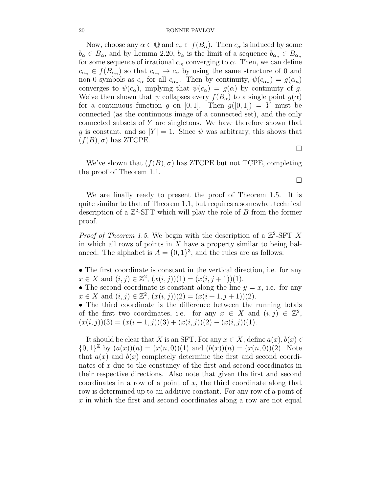Now, choose any  $\alpha \in \mathbb{Q}$  and  $c_{\alpha} \in f(B_{\alpha})$ . Then  $c_{\alpha}$  is induced by some  $b_{\alpha} \in B_{\alpha}$ , and by Lemma 2.20,  $b_{\alpha}$  is the limit of a sequence  $b_{\alpha} \in B_{\alpha}$ for some sequence of irrational  $\alpha_n$  converging to  $\alpha$ . Then, we can define  $c_{\alpha_n} \in f(B_{\alpha_n})$  so that  $c_{\alpha_n} \to c_{\alpha}$  by using the same structure of 0 and non-0 symbols as  $c_{\alpha}$  for all  $c_{\alpha_n}$ . Then by continuity,  $\psi(c_{\alpha_n}) = g(\alpha_n)$ converges to  $\psi(c_{\alpha})$ , implying that  $\psi(c_{\alpha}) = g(\alpha)$  by continuity of g. We've then shown that  $\psi$  collapses every  $f(B_{\alpha})$  to a single point  $g(\alpha)$ for a continuous function g on [0, 1]. Then  $g([0, 1]) = Y$  must be connected (as the continuous image of a connected set), and the only connected subsets of Y are singletons. We have therefore shown that q is constant, and so  $|Y| = 1$ . Since  $\psi$  was arbitrary, this shows that  $(f(B), \sigma)$  has ZTCPE.

 $\Box$ 

 $\Box$ 

We've shown that  $(f(B), \sigma)$  has ZTCPE but not TCPE, completing the proof of Theorem 1.1.

We are finally ready to present the proof of Theorem 1.5. It is quite similar to that of Theorem 1.1, but requires a somewhat technical description of a  $\mathbb{Z}^2$ -SFT which will play the role of B from the former proof.

*Proof of Theorem 1.5.* We begin with the description of a  $\mathbb{Z}^2$ -SFT X in which all rows of points in  $X$  have a property similar to being balanced. The alphabet is  $A = \{0, 1\}^3$ , and the rules are as follows:

- The first coordinate is constant in the vertical direction, i.e. for any  $x \in X$  and  $(i, j) \in \mathbb{Z}^2$ ,  $(x(i, j))(1) = (x(i, j + 1))(1)$ .
- The second coordinate is constant along the line  $y = x$ , i.e. for any  $x \in X$  and  $(i, j) \in \mathbb{Z}^2$ ,  $(x(i, j))(2) = (x(i + 1, j + 1))(2)$ .

• The third coordinate is the difference between the running totals of the first two coordinates, i.e. for any  $x \in X$  and  $(i, j) \in \mathbb{Z}^2$ ,  $(x(i, j))(3) = (x(i - 1, j))(3) + (x(i, j))(2) - (x(i, j))(1).$ 

It should be clear that X is an SFT. For any  $x \in X$ , define  $a(x)$ ,  $b(x) \in$  ${0,1}^{\mathbb{Z}}$  by  $(a(x))(n) = (x(n,0))(1)$  and  $(b(x))(n) = (x(n,0))(2)$ . Note that  $a(x)$  and  $b(x)$  completely determine the first and second coordinates of x due to the constancy of the first and second coordinates in their respective directions. Also note that given the first and second coordinates in a row of a point of  $x$ , the third coordinate along that row is determined up to an additive constant. For any row of a point of x in which the first and second coordinates along a row are not equal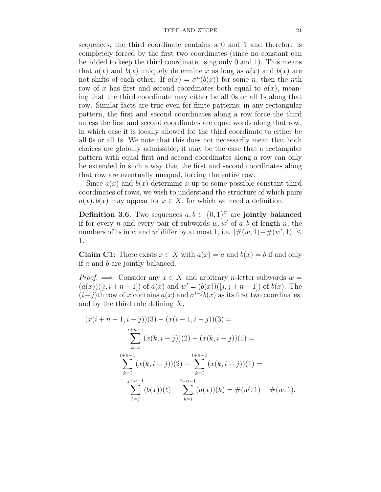sequences, the third coordinate contains a 0 and 1 and therefore is completely forced by the first two coordinates (since no constant can be added to keep the third coordinate using only 0 and 1). This means that  $a(x)$  and  $b(x)$  uniquely determine x as long as  $a(x)$  and  $b(x)$  are not shifts of each other. If  $a(x) = \sigma^n(b(x))$  for some n, then the nth row of x has first and second coordinates both equal to  $a(x)$ , meaning that the third coordinate may either be all 0s or all 1s along that row. Similar facts are true even for finite patterns; in any rectangular pattern, the first and second coordinates along a row force the third unless the first and second coordinates are equal words along that row, in which case it is locally allowed for the third coordinate to either be all 0s or all 1s. We note that this does not necessarily mean that both choices are globally admissible; it may be the case that a rectangular pattern with equal first and second coordinates along a row can only be extended in such a way that the first and second coordinates along that row are eventually unequal, forcing the entire row.

Since  $a(x)$  and  $b(x)$  determine x up to some possible constant third coordinates of rows, we wish to understand the structure of which pairs  $a(x)$ ,  $b(x)$  may appear for  $x \in X$ , for which we need a definition.

**Definition 3.6.** Two sequences  $a, b \in \{0, 1\}^{\mathbb{Z}}$  are jointly balanced if for every n and every pair of subwords  $w, w'$  of  $a, b$  of length n, the numbers of 1s in w and w' differ by at most 1, i.e.  $|\#(w,1)-\#(w',1)| \le$ 1.

**Claim C1:** There exists  $x \in X$  with  $a(x) = a$  and  $b(x) = b$  if and only if a and b are jointly balanced.

*Proof.*  $\implies$ : Consider any  $x \in X$  and arbitrary *n*-letter subwords  $w =$  $(a(x))([i, i+n-1])$  of  $a(x)$  and  $w' = (b(x))([j, j+n-1])$  of  $b(x)$ . The  $(i-j)$ th row of x contains  $a(x)$  and  $\sigma^{i-j}b(x)$  as its first two coordinates, and by the third rule defining  $X$ ,

$$
(x(i+n-1,i-j))(3) - (x(i-1,i-j))(3) =
$$
  

$$
\sum_{k=i}^{i+n-1} (x(k,i-j))(2) - (x(k,i-j))(1) =
$$
  

$$
\sum_{k=i}^{i+n-1} (x(k,i-j))(2) - \sum_{k=i}^{i+n-1} (x(k,i-j))(1) =
$$
  

$$
\sum_{\ell=j}^{j+n-1} (b(x))(\ell) - \sum_{k=i}^{i+n-1} (a(x))(k) = \#(w', 1) - \#(w, 1).
$$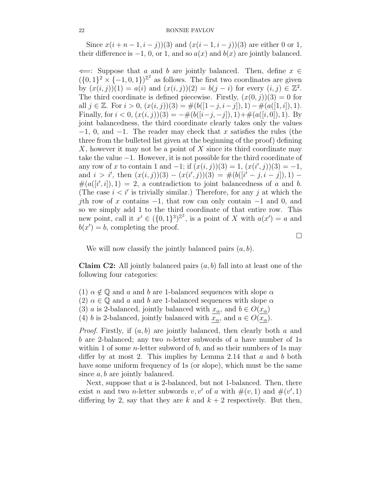Since  $x(i+n-1, i - j)$ (3) and  $(x(i-1, i - j))$ (3) are either 0 or 1, their difference is  $-1$ , 0, or 1, and so  $a(x)$  and  $b(x)$  are jointly balanced.

 $\Leftarrow$ : Suppose that a and b are jointly balanced. Then, define  $x \in$  $({0, 1}^2 \times {-1, 0, 1})^{\mathbb{Z}^2}$  as follows. The first two coordinates are given by  $(x(i, j))(1) = a(i)$  and  $(x(i, j))(2) = b(j - i)$  for every  $(i, j) \in \mathbb{Z}^2$ . The third coordinate is defined piecewise. Firstly,  $(x(0, i))(3) = 0$  for all  $j \in \mathbb{Z}$ . For  $i > 0$ ,  $(x(i, j))(3) = \#(b([1-j, i-j]), 1) - \#(a([1, i]), 1)$ . Finally, for  $i < 0$ ,  $(x(i, j))(3) = -\#(b([i-j, -j]), 1) + \#(a([i, 0]), 1)$ . By joint balancedness, the third coordinate clearly takes only the values  $-1$ , 0, and  $-1$ . The reader may check that x satisfies the rules (the three from the bulleted list given at the beginning of the proof) defining X, however it may not be a point of X since its third coordinate may take the value −1. However, it is not possible for the third coordinate of any row of x to contain 1 and  $-1$ ; if  $(x(i, j))(3) = 1$ ,  $(x(i', j))(3) = -1$ , and  $i > i'$ , then  $(x(i, j))(3) - (x(i', j))(3) = \#(b([i' - j, i - j]), 1) \#(a([i', i]), 1) = 2$ , a contradiction to joint balancedness of a and b. (The case  $i < i'$  is trivially similar.) Therefore, for any j at which the jth row of x contains  $-1$ , that row can only contain  $-1$  and 0, and so we simply add 1 to the third coordinate of that entire row. This new point, call it  $x' \in (\{0,1\}^3)^{\mathbb{Z}^2}$ , is a point of X with  $a(x') = a$  and  $b(x') = b$ , completing the proof.

 $\Box$ 

We will now classify the jointly balanced pairs  $(a, b)$ .

**Claim C2:** All jointly balanced pairs  $(a, b)$  fall into at least one of the following four categories:

- (1)  $\alpha \notin \mathbb{Q}$  and a and b are 1-balanced sequences with slope  $\alpha$
- (2)  $\alpha \in \mathbb{Q}$  and a and b are 1-balanced sequences with slope  $\alpha$
- (3) a is 2-balanced, jointly balanced with  $x_{\alpha}$ , and  $b \in O(x_{\alpha})$
- (4) b is 2-balanced, jointly balanced with  $x_{\alpha}$ , and  $a \in O(x_{\alpha})$ .

*Proof.* Firstly, if  $(a, b)$  are jointly balanced, then clearly both a and b are 2-balanced; any two *n*-letter subwords of a have number of 1s within 1 of some *n*-letter subword of  $b$ , and so their numbers of 1s may differ by at most 2. This implies by Lemma 2.14 that  $a$  and  $b$  both have some uniform frequency of 1s (or slope), which must be the same since  $a, b$  are jointly balanced.

Next, suppose that  $a$  is 2-balanced, but not 1-balanced. Then, there exist *n* and two *n*-letter subwords *v*, *v'* of *a* with  $\#(v, 1)$  and  $\#(v', 1)$ differing by 2, say that they are k and  $k + 2$  respectively. But then,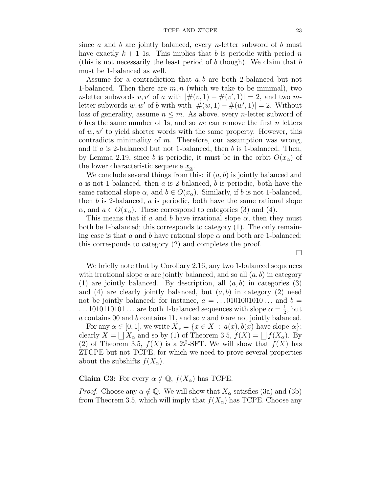since a and b are jointly balanced, every n-letter subword of b must have exactly  $k + 1$  1s. This implies that b is periodic with period n (this is not necessarily the least period of  $b$  though). We claim that  $b$ must be 1-balanced as well.

Assume for a contradiction that a, b are both 2-balanced but not 1-balanced. Then there are  $m, n$  (which we take to be minimal), two *n*-letter subwords  $v, v'$  of a with  $|\#(v, 1) - \#(v', 1)| = 2$ , and two mletter subwords w, w' of b with with  $|\#(w,1) - \#(w',1)| = 2$ . Without loss of generality, assume  $n \leq m$ . As above, every *n*-letter subword of b has the same number of 1s, and so we can remove the first  $n$  letters of  $w, w'$  to yield shorter words with the same property. However, this contradicts minimality of m. Therefore, our assumption was wrong, and if a is 2-balanced but not 1-balanced, then b is 1-balanced. Then, by Lemma 2.19, since b is periodic, it must be in the orbit  $O(x_{\alpha})$  of the lower characteristic sequence  $x_{\alpha}$ .

We conclude several things from this: if  $(a, b)$  is jointly balanced and  $a$  is not 1-balanced, then  $a$  is 2-balanced,  $b$  is periodic, both have the same rational slope  $\alpha$ , and  $b \in O(x_{\alpha})$ . Similarly, if b is not 1-balanced, then  $b$  is 2-balanced,  $a$  is periodic, both have the same rational slope  $\alpha$ , and  $a \in O(x_{\alpha})$ . These correspond to categories (3) and (4).

This means that if a and b have irrational slope  $\alpha$ , then they must both be 1-balanced; this corresponds to category (1). The only remaining case is that a and b have rational slope  $\alpha$  and both are 1-balanced; this corresponds to category (2) and completes the proof.

We briefly note that by Corollary 2.16, any two 1-balanced sequences with irrational slope  $\alpha$  are jointly balanced, and so all  $(a, b)$  in category (1) are jointly balanced. By description, all  $(a, b)$  in categories (3) and (4) are clearly jointly balanced, but  $(a, b)$  in category (2) need not be jointly balanced; for instance,  $a = \dots 0101001010\dots$  and  $b =$  $\ldots$  1010110101 $\ldots$  are both 1-balanced sequences with slope  $\alpha = \frac{1}{2}$  $\frac{1}{2}$ , but  $a$  contains 00 and  $b$  contains 11, and so  $a$  and  $b$  are not jointly balanced.

For any  $\alpha \in [0,1]$ , we write  $X_{\alpha} = \{x \in X : a(x), b(x) \text{ have slope } \alpha \};$ clearly  $X = \bigsqcup X_\alpha$  and so by (1) of Theorem 3.5,  $f(X) = \bigsqcup f(X_\alpha)$ . By (2) of Theorem 3.5,  $f(X)$  is a  $\mathbb{Z}^2$ -SFT. We will show that  $f(X)$  has ZTCPE but not TCPE, for which we need to prove several properties about the subshifts  $f(X_\alpha)$ .

## **Claim C3:** For every  $\alpha \notin \mathbb{Q}$ ,  $f(X_{\alpha})$  has TCPE.

*Proof.* Choose any  $\alpha \notin \mathbb{Q}$ . We will show that  $X_{\alpha}$  satisfies (3a) and (3b) from Theorem 3.5, which will imply that  $f(X_\alpha)$  has TCPE. Choose any

 $\Box$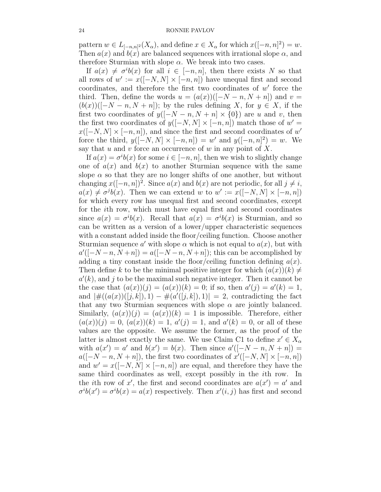pattern  $w \in L_{[-n,n]^2}(X_\alpha)$ , and define  $x \in X_\alpha$  for which  $x([-n,n]^2) = w$ . Then  $a(x)$  and  $b(x)$  are balanced sequences with irrational slope  $\alpha$ , and therefore Sturmian with slope  $\alpha$ . We break into two cases.

If  $a(x) \neq \sigma^{i}b(x)$  for all  $i \in [-n, n]$ , then there exists N so that all rows of  $w' := x([-N, N] \times [-n, n])$  have unequal first and second coordinates, and therefore the first two coordinates of  $w'$  force the third. Then, define the words  $u = (a(x))([-N - n, N + n])$  and  $v =$  $(b(x))([-N-n, N+n])$ ; by the rules defining X, for  $y \in X$ , if the first two coordinates of  $y([-N-n, N+n] \times \{0\})$  are u and v, then the first two coordinates of  $y([-N, N] \times [-n, n])$  match those of  $w' =$  $x([-N, N] \times [-n, n])$ , and since the first and second coordinates of w' force the third,  $y([-N, N] \times [-n, n]) = w'$  and  $y([-n, n]^2) = w$ . We say that  $u$  and  $v$  force an occurrence of  $w$  in any point of  $X$ .

If  $a(x) = \sigma^{i}b(x)$  for some  $i \in [-n, n]$ , then we wish to slightly change one of  $a(x)$  and  $b(x)$  to another Sturmian sequence with the same slope  $\alpha$  so that they are no longer shifts of one another, but without changing  $x([-n, n])^2$ . Since  $a(x)$  and  $b(x)$  are not periodic, for all  $j \neq i$ ,  $a(x) \neq \sigma^{j}b(x)$ . Then we can extend w to  $w' := x([-N, N] \times [-n, n])$ for which every row has unequal first and second coordinates, except for the ith row, which must have equal first and second coordinates since  $a(x) = \sigma^{i}b(x)$ . Recall that  $a(x) = \sigma^{i}b(x)$  is Sturmian, and so can be written as a version of a lower/upper characteristic sequences with a constant added inside the floor/ceiling function. Choose another Sturmian sequence a' with slope  $\alpha$  which is not equal to  $a(x)$ , but with  $a'([-N-n, N+n]) = a([-N-n, N+n])$ ; this can be accomplished by adding a tiny constant inside the floor/ceiling function defining  $a(x)$ . Then define k to be the minimal positive integer for which  $(a(x))(k) \neq$  $a'(k)$ , and j to be the maximal such negative integer. Then it cannot be the case that  $(a(x))(j) = (a(x))(k) = 0$ ; if so, then  $a'(j) = a'(k) = 1$ , and  $|\#((a(x))([j,k]),1) - \#(a'([j,k]),1)| = 2$ , contradicting the fact that any two Sturmian sequences with slope  $\alpha$  are jointly balanced. Similarly,  $(a(x))(j) = (a(x))(k) = 1$  is impossible. Therefore, either  $(a(x))(j) = 0, (a(x))(k) = 1, a'(j) = 1, \text{ and } a'(k) = 0, \text{ or all of these}$ values are the opposite. We assume the former, as the proof of the latter is almost exactly the same. We use Claim C1 to define  $x' \in X_\alpha$ with  $a(x') = a'$  and  $b(x') = b(x)$ . Then since  $a'([-N - n, N + n]) =$  $a([-N-n, N+n])$ , the first two coordinates of  $x'([-N, N] \times [-n, n])$ and  $w' = x([-N, N] \times [-n, n])$  are equal, and therefore they have the same third coordinates as well, except possibly in the ith row. In the *i*th row of x', the first and second coordinates are  $a(x') = a'$  and  $\sigma^{i}b(x') = \sigma^{i}b(x) = a(x)$  respectively. Then  $x'(i, j)$  has first and second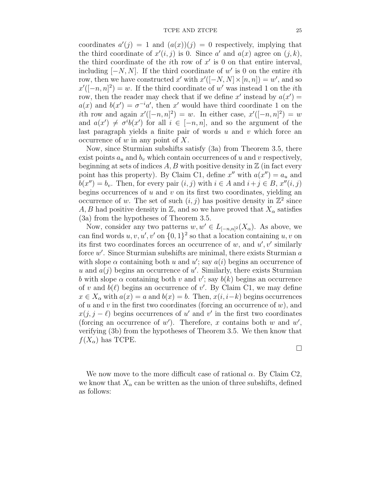coordinates  $a'(j) = 1$  and  $(a(x))(j) = 0$  respectively, implying that the third coordinate of  $x'(i, j)$  is 0. Since a' and  $a(x)$  agree on  $(j, k)$ , the third coordinate of the *i*th row of  $x'$  is 0 on that entire interval, including  $[-N, N]$ . If the third coordinate of w' is 0 on the entire *i*th row, then we have constructed x' with  $x'([-N, N] \times [n, n]) = w'$ , and so  $x'([-n,n]^2) = w$ . If the third coordinate of w' was instead 1 on the *i*th row, then the reader may check that if we define x' instead by  $a(x') =$  $a(x)$  and  $b(x') = \sigma^{-i} a'$ , then x' would have third coordinate 1 on the ith row and again  $x'([-n,n]^2) = w$ . In either case,  $x'([-n,n]^2) = w$ and  $a(x') \neq \sigma^{i}b(x')$  for all  $i \in [-n, n]$ , and so the argument of the last paragraph yields a finite pair of words  $u$  and  $v$  which force an occurrence of  $w$  in any point of  $X$ .

Now, since Sturmian subshifts satisfy (3a) from Theorem 3.5, there exist points  $a_u$  and  $b_v$  which contain occurrences of u and v respectively, beginning at sets of indices  $A, B$  with positive density in  $\mathbb Z$  (in fact every point has this property). By Claim C1, define  $x''$  with  $a(x'') = a_u$  and  $b(x'') = b_v$ . Then, for every pair  $(i, j)$  with  $i \in A$  and  $i + j \in B$ ,  $x''(i, j)$ begins occurrences of  $u$  and  $v$  on its first two coordinates, yielding an occurrence of w. The set of such  $(i, j)$  has positive density in  $\mathbb{Z}^2$  since A, B had positive density in Z, and so we have proved that  $X_{\alpha}$  satisfies (3a) from the hypotheses of Theorem 3.5.

Now, consider any two patterns  $w, w' \in L_{[-n,n]^2}(X_\alpha)$ . As above, we can find words  $u, v, u', v'$  on  $\{0, 1\}^2$  so that a location containing  $u, v$  on its first two coordinates forces an occurrence of  $w$ , and  $u'$ ,  $v'$  similarly force  $w'$ . Since Sturmian subshifts are minimal, there exists Sturmian  $a$ with slope  $\alpha$  containing both u and u'; say  $a(i)$  begins an occurrence of u and  $a(j)$  begins an occurrence of u'. Similarly, there exists Sturmian b with slope  $\alpha$  containing both v and v'; say  $b(k)$  begins an occurrence of v and  $b(\ell)$  begins an occurrence of v'. By Claim C1, we may define  $x \in X_\alpha$  with  $a(x) = a$  and  $b(x) = b$ . Then,  $x(i, i-k)$  begins occurrences of u and v in the first two coordinates (forcing an occurrence of  $w$ ), and  $x(j, j - \ell)$  begins occurrences of u' and v' in the first two coordinates (forcing an occurrence of  $w'$ ). Therefore, x contains both w and  $w'$ , verifying (3b) from the hypotheses of Theorem 3.5. We then know that  $f(X_\alpha)$  has TCPE.

 $\Box$ 

We now move to the more difficult case of rational  $\alpha$ . By Claim C2, we know that  $X_\alpha$  can be written as the union of three subshifts, defined as follows: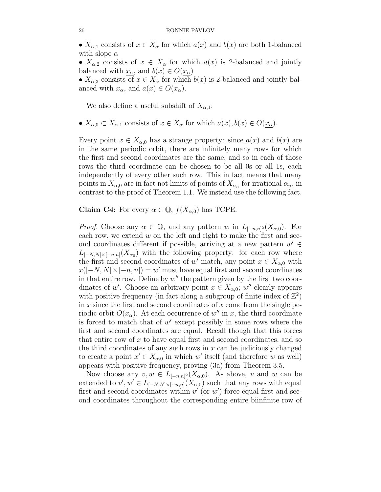•  $X_{\alpha,1}$  consists of  $x \in X_{\alpha}$  for which  $a(x)$  and  $b(x)$  are both 1-balanced with slope  $\alpha$ 

•  $X_{\alpha,2}$  consists of  $x \in X_{\alpha}$  for which  $a(x)$  is 2-balanced and jointly balanced with  $x_{\alpha}$ , and  $b(x) \in O(x_{\alpha})$ 

•  $X_{\alpha,3}$  consists of  $x \in X_{\alpha}$  for which  $b(x)$  is 2-balanced and jointly balanced with  $x_{\alpha}$ , and  $a(x) \in O(x_{\alpha})$ .

We also define a useful subshift of  $X_{\alpha,1}$ :

•  $X_{\alpha,0} \subset X_{\alpha,1}$  consists of  $x \in X_{\alpha}$  for which  $a(x), b(x) \in O(x_{\alpha})$ .

Every point  $x \in X_{\alpha,0}$  has a strange property: since  $a(x)$  and  $b(x)$  are in the same periodic orbit, there are infinitely many rows for which the first and second coordinates are the same, and so in each of those rows the third coordinate can be chosen to be all 0s or all 1s, each independently of every other such row. This in fact means that many points in  $X_{\alpha,0}$  are in fact not limits of points of  $X_{\alpha_n}$  for irrational  $\alpha_n$ , in contrast to the proof of Theorem 1.1. We instead use the following fact.

**Claim C4:** For every  $\alpha \in \mathbb{Q}$ ,  $f(X_{\alpha,0})$  has TCPE.

*Proof.* Choose any  $\alpha \in \mathbb{Q}$ , and any pattern w in  $L_{[-n,n]^2}(X_{\alpha,0})$ . For each row, we extend  $w$  on the left and right to make the first and second coordinates different if possible, arriving at a new pattern  $w' \in$  $L_{[-N,N]\times[-n,n]}(X_{\alpha_0})$  with the following property: for each row where the first and second coordinates of w' match, any point  $x \in X_{\alpha,0}$  with  $x([-N, N] \times [-n, n]) = w'$  must have equal first and second coordinates in that entire row. Define by  $w''$  the pattern given by the first two coordinates of w'. Choose an arbitrary point  $x \in X_{\alpha,0}$ ; w'' clearly appears with positive frequency (in fact along a subgroup of finite index of  $\mathbb{Z}^2$ ) in  $x$  since the first and second coordinates of  $x$  come from the single periodic orbit  $O(x_0)$ . At each occurrence of w'' in x, the third coordinate is forced to match that of  $w'$  except possibly in some rows where the first and second coordinates are equal. Recall though that this forces that entire row of  $x$  to have equal first and second coordinates, and so the third coordinates of any such rows in  $x$  can be judiciously changed to create a point  $x' \in X_{\alpha,0}$  in which w' itself (and therefore w as well) appears with positive frequency, proving (3a) from Theorem 3.5.

Now choose any  $v, w \in L_{[-n,n]^2}(X_{\alpha,0})$ . As above, v and w can be extended to  $v', w' \in L_{[-N,N] \times [-n,n]}(X_{\alpha,0})$  such that any rows with equal first and second coordinates within  $v'$  (or  $w'$ ) force equal first and second coordinates throughout the corresponding entire biinfinite row of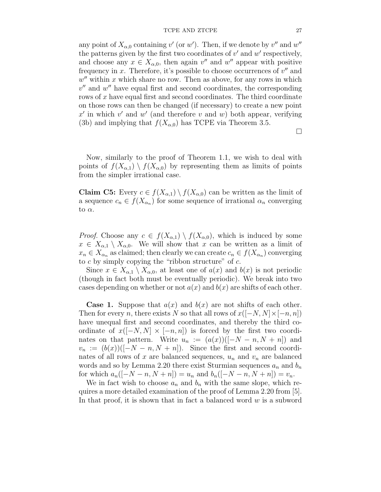#### TCPE AND ZTCPE 27

any point of  $X_{\alpha,0}$  containing  $v'$  (or  $w'$ ). Then, if we denote by  $v''$  and  $w''$ the patterns given by the first two coordinates of  $v'$  and  $w'$  respectively, and choose any  $x \in X_{\alpha,0}$ , then again  $v''$  and  $w''$  appear with positive frequency in  $x$ . Therefore, it's possible to choose occurrences of  $v''$  and  $w''$  within x which share no row. Then as above, for any rows in which  $v''$  and  $w''$  have equal first and second coordinates, the corresponding rows of x have equal first and second coordinates. The third coordinate on those rows can then be changed (if necessary) to create a new point  $x'$  in which  $v'$  and  $w'$  (and therefore v and w) both appear, verifying (3b) and implying that  $f(X_{\alpha,0})$  has TCPE via Theorem 3.5.

 $\Box$ 

Now, similarly to the proof of Theorem 1.1, we wish to deal with points of  $f(X_{\alpha,1}) \setminus f(X_{\alpha,0})$  by representing them as limits of points from the simpler irrational case.

**Claim C5:** Every  $c \in f(X_{\alpha,1}) \setminus f(X_{\alpha,0})$  can be written as the limit of a sequence  $c_n \in f(X_{\alpha_n})$  for some sequence of irrational  $\alpha_n$  converging to  $\alpha$ .

*Proof.* Choose any  $c \in f(X_{\alpha,1}) \setminus f(X_{\alpha,0})$ , which is induced by some  $x \in X_{\alpha,1} \setminus X_{\alpha,0}$ . We will show that x can be written as a limit of  $x_n \in X_{\alpha_n}$  as claimed; then clearly we can create  $c_n \in f(X_{\alpha_n})$  converging to  $c$  by simply copying the "ribbon structure" of  $c$ .

Since  $x \in X_{\alpha,1} \setminus X_{\alpha,0}$ , at least one of  $a(x)$  and  $b(x)$  is not periodic (though in fact both must be eventually periodic). We break into two cases depending on whether or not  $a(x)$  and  $b(x)$  are shifts of each other.

**Case 1.** Suppose that  $a(x)$  and  $b(x)$  are not shifts of each other. Then for every n, there exists N so that all rows of  $x([-N, N] \times [-n, n])$ have unequal first and second coordinates, and thereby the third coordinate of  $x([-N, N] \times [-n, n])$  is forced by the first two coordinates on that pattern. Write  $u_n := (a(x))([-N - n, N + n])$  and  $v_n := (b(x))([-N - n, N + n])$ . Since the first and second coordinates of all rows of x are balanced sequences,  $u_n$  and  $v_n$  are balanced words and so by Lemma 2.20 there exist Sturmian sequences  $a_n$  and  $b_n$ for which  $a_n([-N - n, N + n]) = u_n$  and  $b_n([-N - n, N + n]) = v_n$ .

We in fact wish to choose  $a_n$  and  $b_n$  with the same slope, which requires a more detailed examination of the proof of Lemma 2.20 from [5]. In that proof, it is shown that in fact a balanced word  $w$  is a subword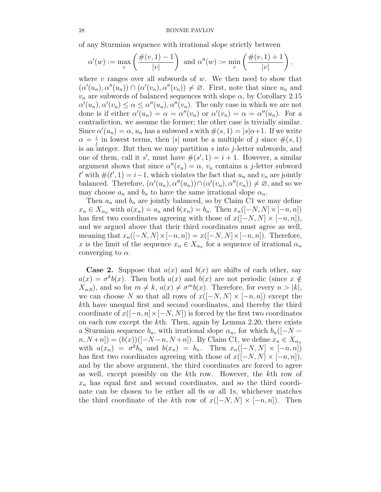of any Sturmian sequence with irrational slope strictly between

$$
\alpha'(w):=\max_v\left(\frac{\#(v,1)-1}{|v|}\right)\text{ and }\alpha''(w):=\min_v\left(\frac{\#(v,1)+1}{|v|}\right),
$$

where  $v$  ranges over all subwords of  $w$ . We then need to show that  $(\alpha'(u_n), \alpha''(u_n)) \cap (\alpha'(v_n), \alpha''(v_n)) \neq \emptyset$ . First, note that since  $u_n$  and  $v_n$  are subwords of balanced sequences with slope  $\alpha$ , by Corollary 2.15  $\alpha'(u_n), \alpha'(v_n) \leq \alpha \leq \alpha''(u_n), \alpha''(v_n)$ . The only case in which we are not done is if either  $\alpha'(u_n) = \alpha = \alpha''(v_n)$  or  $\alpha'(v_n) = \alpha = \alpha''(u_n)$ . For a contradiction, we assume the former; the other case is trivially similar. Since  $\alpha'(u_n) = \alpha$ ,  $u_n$  has a subword s with  $\#(s,1) = |s|\alpha+1$ . If we write  $\alpha = \frac{i}{i}$  $\frac{i}{j}$  in lowest terms, then |s| must be a multiple of j since  $\#(s,1)$ is an integer. But then we may partition  $s$  into  $j$ -letter subwords, and one of them, call it s', must have  $\#(s', 1) = i + 1$ . However, a similar argument shows that since  $\alpha''(v_n) = \alpha$ ,  $v_n$  contains a j-letter subword t' with  $\#(t', 1) = i - 1$ , which violates the fact that  $u_n$  and  $v_n$  are jointly balanced. Therefore,  $(\alpha'(u_n), \alpha''(u_n)) \cap (\alpha'(v_n), \alpha''(v_n)) \neq \emptyset$ , and so we may choose  $a_n$  and  $b_n$  to have the same irrational slope  $\alpha_n$ .

Then  $a_n$  and  $b_n$  are jointly balanced, so by Claim C1 we may define  $x_n \in X_{\alpha_n}$  with  $a(x_n) = a_n$  and  $b(x_n) = b_n$ . Then  $x_n([-N, N] \times [-n, n])$ has first two coordinates agreeing with those of  $x([-N, N] \times [-n, n]),$ and we argued above that their third coordinates must agree as well, meaning that  $x_n([-N, N] \times [-n, n]) = x([-N, N] \times [-n, n])$ . Therefore, x is the limit of the sequence  $x_n \in X_{\alpha_n}$  for a sequence of irrational  $\alpha_n$ converging to  $\alpha$ .

**Case 2.** Suppose that  $a(x)$  and  $b(x)$  are shifts of each other, say  $a(x) = \sigma^k b(x)$ . Then both  $a(x)$  and  $b(x)$  are not periodic (since  $x \notin$  $X_{\alpha,0}$ , and so for  $m \neq k$ ,  $a(x) \neq \sigma^{m}b(x)$ . Therefore, for every  $n > |k|$ , we can choose N so that all rows of  $x([-N, N] \times [-n, n])$  except the kth have unequal first and second coordinates, and thereby the third coordinate of  $x([-n, n] \times [-N, N])$  is forced by the first two coordinates on each row except the kth. Then, again by Lemma 2.20, there exists a Sturmian sequence  $b_n$ , with irrational slope  $\alpha_n$ , for which  $b_n([-N (n, N+n]) = (b(x))([-N-n, N+n])$ . By Claim C1, we define  $x_n \in X_{\alpha_n}$ with  $a(x_n) = \sigma^k b_n$  and  $b(x_n) = b_n$ . Then  $x_n([-N, N] \times [-n, n])$ has first two coordinates agreeing with those of  $x([-N, N] \times [-n, n])$ , and by the above argument, the third coordinates are forced to agree as well, except possibly on the kth row. However, the kth row of  $x_n$  has equal first and second coordinates, and so the third coordinate can be chosen to be either all 0s or all 1s, whichever matches the third coordinate of the kth row of  $x([-N, N] \times [-n, n])$ . Then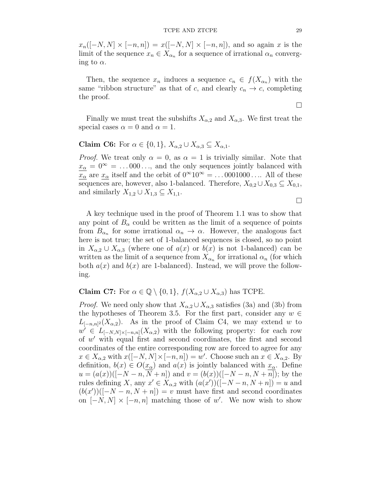$x_n([-N, N] \times [-n, n]) = x([-N, N] \times [-n, n])$ , and so again x is the limit of the sequence  $x_n \in X_{\alpha_n}$  for a sequence of irrational  $\alpha_n$  converging to  $\alpha$ .

Then, the sequence  $x_n$  induces a sequence  $c_n \in f(X_{\alpha_n})$  with the same "ribbon structure" as that of c, and clearly  $c_n \to c$ , completing the proof.

Finally we must treat the subshifts  $X_{\alpha,2}$  and  $X_{\alpha,3}$ . We first treat the special cases  $\alpha = 0$  and  $\alpha = 1$ .

Claim C6: For  $\alpha \in \{0, 1\}$ ,  $X_{\alpha, 2} \cup X_{\alpha, 3} \subseteq X_{\alpha, 1}$ .

*Proof.* We treat only  $\alpha = 0$ , as  $\alpha = 1$  is trivially similar. Note that  $x_{\alpha} = 0^{\infty} = ... 000 \dots$ , and the only sequences jointly balanced with  $\frac{\overline{x}_{\alpha}}{x_{\alpha}}$  are  $x_{\alpha}$  itself and the orbit of  $0^{\infty}10^{\infty} = ... 0001000...$  All of these sequences are, however, also 1-balanced. Therefore,  $X_{0,2} \cup X_{0,3} \subseteq X_{0,1}$ , and similarly  $X_{1,2} \cup X_{1,3} \subseteq X_{1,1}$ .

 $\Box$ 

A key technique used in the proof of Theorem 1.1 was to show that any point of  $B_\alpha$  could be written as the limit of a sequence of points from  $B_{\alpha_n}$  for some irrational  $\alpha_n \to \alpha$ . However, the analogous fact here is not true; the set of 1-balanced sequences is closed, so no point in  $X_{\alpha,2} \cup X_{\alpha,3}$  (where one of  $a(x)$  or  $b(x)$  is not 1-balanced) can be written as the limit of a sequence from  $X_{\alpha_n}$  for irrational  $\alpha_n$  (for which both  $a(x)$  and  $b(x)$  are 1-balanced). Instead, we will prove the following.

Claim C7: For  $\alpha \in \mathbb{Q} \setminus \{0,1\}$ ,  $f(X_{\alpha,2} \cup X_{\alpha,3})$  has TCPE.

*Proof.* We need only show that  $X_{\alpha,2} \cup X_{\alpha,3}$  satisfies (3a) and (3b) from the hypotheses of Theorem 3.5. For the first part, consider any  $w \in$  $L_{[-n,n]^2}(X_{\alpha,2})$ . As in the proof of Claim C4, we may extend w to  $w' \in L_{[-N,N] \times [-n,n]}(X_{\alpha,2})$  with the following property: for each row of w ′ with equal first and second coordinates, the first and second coordinates of the entire corresponding row are forced to agree for any  $x \in X_{\alpha,2}$  with  $x([-N,N] \times [-n,n]) = w'$ . Choose such an  $x \in X_{\alpha,2}$ . By definition,  $b(x) \in O(x_\alpha)$  and  $a(x)$  is jointly balanced with  $x_\alpha$ . Define  $u = (a(x))([-N-n, N+n])$  and  $v = (b(x))([-N-n, N+n])$ ; by the rules defining X, any  $x' \in X_{\alpha,2}$  with  $(a(x'))([-N-n, N+n]) = u$  and  $(b(x'))([-N-n, N+n]) = v$  must have first and second coordinates on  $[-N, N] \times [-n, n]$  matching those of w'. We now wish to show

 $\Box$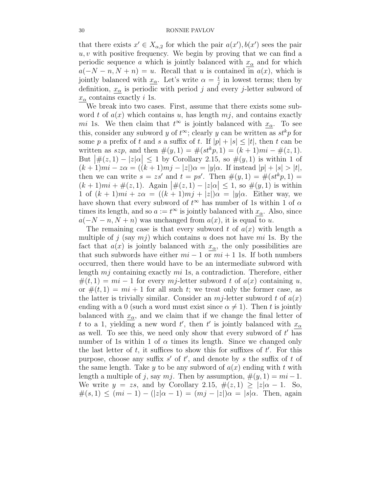that there exists  $x' \in X_{\alpha,2}$  for which the pair  $a(x'), b(x')$  sees the pair  $u, v$  with positive frequency. We begin by proving that we can find a periodic sequence a which is jointly balanced with  $x_{\alpha}$  and for which  $a(-N - n, N + n) = u$ . Recall that u is contained in  $a(x)$ , which is jointly balanced with  $x_{\alpha}$ . Let's write  $\alpha = \frac{i}{i}$  $\frac{i}{j}$  in lowest terms; then by definition,  $x_{\alpha}$  is periodic with period j and every j-letter subword of  $x_{\alpha}$  contains exactly *i* 1s.

We break into two cases. First, assume that there exists some subword t of  $a(x)$  which contains u, has length  $mj$ , and contains exactly mi 1s. We then claim that  $t^{\infty}$  is jointly balanced with  $x_{\alpha}$ . To see this, consider any subword y of  $t^{\infty}$ ; clearly y can be written as  $st^k p$  for some p a prefix of t and s a suffix of t. If  $|p| + |s| \leq |t|$ , then t can be written as  $szp$ , and then  $\#(y, 1) = \#(st^kp, 1) = (k+1)mi - \#(z, 1)$ . But  $|\#(z,1)-|z|\alpha| \leq 1$  by Corollary 2.15, so  $\#(y,1)$  is within 1 of  $(k+1)mi - z\alpha = ((k+1)mj - |z|)\alpha = |y|\alpha$ . If instead  $|p| + |s| > |t|$ , then we can write  $s = zs'$  and  $t = ps'$ . Then  $\#(y, 1) = \#(st^k p, 1) =$  $(k+1)mi + \#(z,1)$ . Again  $|\#(z,1) - |z|\alpha| \leq 1$ , so  $\#(y,1)$  is within 1 of  $(k + 1)mi + z\alpha = ((k + 1)mj + |z|)\alpha = |y|\alpha$ . Either way, we have shown that every subword of  $t^{\infty}$  has number of 1s within 1 of  $\alpha$ times its length, and so  $a := t^{\infty}$  is jointly balanced with  $x_{\alpha}$ . Also, since  $a(-N-n, N+n)$  was unchanged from  $a(x)$ , it is equal to u.

The remaining case is that every subword t of  $a(x)$  with length a multiple of j (say  $mj$ ) which contains u does not have mi 1s. By the fact that  $a(x)$  is jointly balanced with  $x_{\alpha}$ , the only possibilities are that such subwords have either  $mi - 1$  or  $mi + 1$  1s. If both numbers occurred, then there would have to be an intermediate subword with length  $mj$  containing exactly  $mi$  1s, a contradiction. Therefore, either  $#(t,1) = mi - 1$  for every mj-letter subword t of  $a(x)$  containing u, or  $\#(t,1) = mi + 1$  for all such t; we treat only the former case, as the latter is trivially similar. Consider an  $mj$ -letter subword t of  $a(x)$ ending with a 0 (such a word must exist since  $\alpha \neq 1$ ). Then t is jointly balanced with  $x_{\alpha}$ , and we claim that if we change the final letter of t to a 1, yielding a new word t', then t' is jointly balanced with  $x_{\alpha}$ as well. To see this, we need only show that every subword of  $t'$  has number of 1s within 1 of  $\alpha$  times its length. Since we changed only the last letter of  $t$ , it suffices to show this for suffixes of  $t'$ . For this purpose, choose any suffix  $s'$  of  $t'$ , and denote by s the suffix of t of the same length. Take y to be any subword of  $a(x)$  ending with t with length a multiple of j, say mj. Then by assumption,  $\#(y, 1) = mi - 1$ . We write  $y = zs$ , and by Corollary 2.15,  $\#(z,1) \ge |z|\alpha - 1$ . So,  $\#(s,1) \leq (mi-1) - (|z|\alpha - 1) = (mj-|z|)\alpha = |s|\alpha$ . Then, again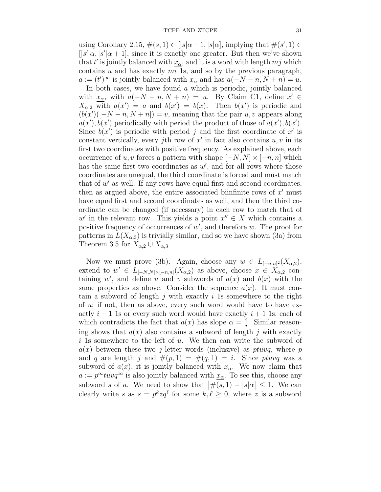using Corollary 2.15,  $\#(s,1) \in [|s|\alpha-1, |s|\alpha]$ , implying that  $\#(s', 1) \in$  $[|s'| \alpha, |s'| \alpha + 1]$ , since it is exactly one greater. But then we've shown that t' is jointly balanced with  $x_{\alpha}$ , and it is a word with length  $mj$  which contains  $u$  and has exactly  $mi$  1s, and so by the previous paragraph,  $a := (t')^{\infty}$  is jointly balanced with  $x_{\alpha}$  and has  $a(-N - n, N + n) = u$ .

In both cases, we have found  $a$  which is periodic, jointly balanced with  $x_{\alpha}$ , with  $a(-N - n, N + n) = u$ . By Claim C1, define  $x' \in$  $X_{\alpha,2}$  with  $a(x') = a$  and  $b(x') = b(x)$ . Then  $b(x')$  is periodic and  $(b(x')([-N-n, N+n]) = v$ , meaning that the pair u, v appears along  $a(x'), b(x')$  periodically with period the product of those of  $a(x'), b(x')$ . Since  $b(x')$  is periodic with period j and the first coordinate of x' is constant vertically, every jth row of  $x'$  in fact also contains  $u, v$  in its first two coordinates with positive frequency. As explained above, each occurrence of u, v forces a pattern with shape  $[-N, N] \times [-n, n]$  which has the same first two coordinates as  $w'$ , and for all rows where those coordinates are unequal, the third coordinate is forced and must match that of  $w'$  as well. If any rows have equal first and second coordinates, then as argued above, the entire associated biinfinite rows of  $x'$  must have equal first and second coordinates as well, and then the third coordinate can be changed (if necessary) in each row to match that of w' in the relevant row. This yields a point  $x'' \in X$  which contains a positive frequency of occurrences of  $w'$ , and therefore  $w$ . The proof for patterns in  $L(X_{\alpha,3})$  is trivially similar, and so we have shown (3a) from Theorem 3.5 for  $X_{\alpha,2} \cup X_{\alpha,3}$ .

Now we must prove (3b). Again, choose any  $w \in L_{[-n,n]^2}(X_{\alpha,2}),$ extend to  $w' \in L_{[-N,N] \times [-n,n]}(X_{\alpha,2})$  as above, choose  $x \in X_{\alpha,2}$  containing w', and define u and v subwords of  $a(x)$  and  $b(x)$  with the same properties as above. Consider the sequence  $a(x)$ . It must contain a subword of length  $j$  with exactly  $i$  1s somewhere to the right of  $u$ ; if not, then as above, every such word would have to have exactly  $i - 1$  1s or every such word would have exactly  $i + 1$  1s, each of which contradicts the fact that  $a(x)$  has slope  $\alpha = \frac{i}{i}$  $\frac{i}{j}$ . Similar reasoning shows that  $a(x)$  also contains a subword of length j with exactly i 1s somewhere to the left of u. We then can write the subword of  $a(x)$  between these two j-letter words (inclusive) as ptuvq, where p and q are length j and  $\#(p,1) = \#(q,1) = i$ . Since ptuvq was a subword of  $a(x)$ , it is jointly balanced with  $x_{\alpha}$ . We now claim that  $a := p^{\infty}tuvq^{\infty}$  is also jointly balanced with  $x_{\alpha}$ . To see this, choose any subword s of a. We need to show that  $|\#(s,1) - |s|\alpha| \leq 1$ . We can clearly write s as  $s = p^k z q^l$  for some  $k, l \geq 0$ , where z is a subword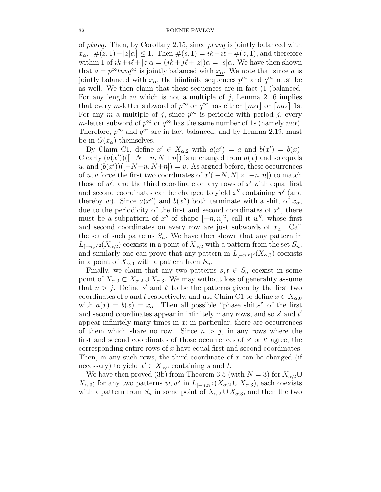of ptuvq. Then, by Corollary 2.15, since ptuvq is jointly balanced with  $\frac{x_{\alpha}}{\alpha}$ ,  $\left| \#(z,1) - |z|\alpha \right| \leq 1$ . Then  $\#(s,1) = ik + i\ell + \#(z,1)$ , and therefore within 1 of  $ik+i\ell+|z|_{\alpha} = (jk+j\ell+|z|)_{\alpha} = |s|\alpha$ . We have then shown that  $a = p^{\infty}tuvq^{\infty}$  is jointly balanced with  $x_{\alpha}$ . We note that since a is jointly balanced with  $x_{\alpha}$ , the biinfinite sequences  $p^{\infty}$  and  $q^{\infty}$  must be as well. We then claim that these sequences are in fact (1-)balanced. For any length  $m$  which is not a multiple of  $j$ , Lemma 2.16 implies that every *m*-letter subword of  $p^{\infty}$  or  $q^{\infty}$  has either  $\lfloor m\alpha \rfloor$  or  $\lceil m\alpha \rceil$  1s. For any m a multiple of j, since  $p^{\infty}$  is periodic with period j, every m-letter subword of  $p^{\infty}$  or  $q^{\infty}$  has the same number of 1s (namely  $m\alpha$ ). Therefore,  $p^{\infty}$  and  $q^{\infty}$  are in fact balanced, and by Lemma 2.19, must be in  $O(x_{\alpha})$  themselves.

By Claim C1, define  $x' \in X_{\alpha,2}$  with  $a(x') = a$  and  $b(x') = b(x)$ . Clearly  $(a(x'))([-N-n, N+n])$  is unchanged from  $a(x)$  and so equals u, and  $(b(x'))([-N-n, N+n]) = v$ . As argued before, these occurrences of u, v force the first two coordinates of  $x'([-N, N] \times [-n, n])$  to match those of  $w'$ , and the third coordinate on any rows of  $x'$  with equal first and second coordinates can be changed to yield  $x''$  containing  $w'$  (and thereby w). Since  $a(x'')$  and  $b(x'')$  both terminate with a shift of  $x_{\alpha}$ , due to the periodicity of the first and second coordinates of  $x''$ , there must be a subpattern of  $x''$  of shape  $[-n, n]^2$ , call it w'', whose first and second coordinates on every row are just subwords of  $x_\alpha$ . Call the set of such patterns  $S_n$ . We have then shown that any pattern in  $L_{[-n,n]^2}(X_{\alpha,2})$  coexists in a point of  $X_{\alpha,2}$  with a pattern from the set  $S_n$ , and similarly one can prove that any pattern in  $L_{[-n,n]^2}(X_{\alpha,3})$  coexists in a point of  $X_{\alpha,3}$  with a pattern from  $S_n$ .

Finally, we claim that any two patterns  $s, t \in S_n$  coexist in some point of  $X_{\alpha,0} \subset X_{\alpha,2} \cup X_{\alpha,3}$ . We may without loss of generality assume that  $n > j$ . Define s' and t' to be the patterns given by the first two coordinates of s and t respectively, and use Claim C1 to define  $x \in X_{\alpha,0}$ with  $a(x) = b(x) = x_\alpha$ . Then all possible "phase shifts" of the first and second coordinates appear in infinitely many rows, and so  $s'$  and  $t'$ appear infinitely many times in  $x$ ; in particular, there are occurrences of them which share no row. Since  $n > j$ , in any rows where the first and second coordinates of those occurrences of  $s'$  or  $t'$  agree, the corresponding entire rows of x have equal first and second coordinates. Then, in any such rows, the third coordinate of  $x$  can be changed (if necessary) to yield  $x' \in X_{\alpha,0}$  containing s and t.

We have then proved (3b) from Theorem 3.5 (with  $N = 3$ ) for  $X_{\alpha,2} \cup$  $X_{\alpha,3}$ ; for any two patterns w, w' in  $L_{[-n,n]^2}(X_{\alpha,2} \cup X_{\alpha,3})$ , each coexists with a pattern from  $S_n$  in some point of  $X_{\alpha,2} \cup X_{\alpha,3}$ , and then the two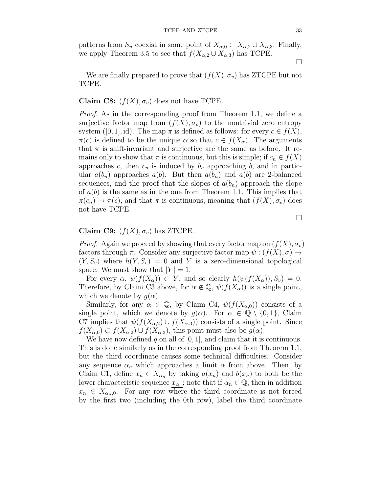patterns from  $S_n$  coexist in some point of  $X_{\alpha,0} \subset X_{\alpha,2} \cup X_{\alpha,3}$ . Finally, we apply Theorem 3.5 to see that  $f(X_{\alpha,2} \cup X_{\alpha,3})$  has TCPE.

 $\Box$ 

We are finally prepared to prove that  $(f(X), \sigma_v)$  has ZTCPE but not TCPE.

## Claim C8:  $(f(X), \sigma_v)$  does not have TCPE.

*Proof.* As in the corresponding proof from Theorem 1.1, we define a surjective factor map from  $(f(X), \sigma_v)$  to the nontrivial zero entropy system ([0, 1], id). The map  $\pi$  is defined as follows: for every  $c \in f(X)$ ,  $\pi(c)$  is defined to be the unique  $\alpha$  so that  $c \in f(X_\alpha)$ . The arguments that  $\pi$  is shift-invariant and surjective are the same as before. It remains only to show that  $\pi$  is continuous, but this is simple; if  $c_n \in f(X)$ approaches c, then  $c_n$  is induced by  $b_n$  approaching b, and in particular  $a(b_n)$  approaches  $a(b)$ . But then  $a(b_n)$  and  $a(b)$  are 2-balanced sequences, and the proof that the slopes of  $a(b_n)$  approach the slope of  $a(b)$  is the same as in the one from Theorem 1.1. This implies that  $\pi(c_n) \to \pi(c)$ , and that  $\pi$  is continuous, meaning that  $(f(X), \sigma_v)$  does not have TCPE.

 $\Box$ 

## Claim C9:  $(f(X), \sigma_v)$  has ZTCPE.

*Proof.* Again we proceed by showing that every factor map on  $(f(X), \sigma_v)$ factors through  $\pi$ . Consider any surjective factor map  $\psi: (f(X), \sigma) \to$  $(Y, S_v)$  where  $h(Y, S_v) = 0$  and Y is a zero-dimensional topological space. We must show that  $|Y| = 1$ .

For every  $\alpha$ ,  $\psi(f(X_{\alpha})) \subset Y$ , and so clearly  $h(\psi(f(X_{\alpha})), S_v) = 0$ . Therefore, by Claim C3 above, for  $\alpha \notin \mathbb{Q}$ ,  $\psi(f(X_{\alpha}))$  is a single point, which we denote by  $q(\alpha)$ .

Similarly, for any  $\alpha \in \mathbb{Q}$ , by Claim C4,  $\psi(f(X_{\alpha,0}))$  consists of a single point, which we denote by  $g(\alpha)$ . For  $\alpha \in \mathbb{Q} \setminus \{0,1\}$ , Claim C7 implies that  $\psi(f(X_{\alpha,2}) \cup f(X_{\alpha,3}))$  consists of a single point. Since  $f(X_{\alpha,0}) \subset f(X_{\alpha,2}) \cup f(X_{\alpha,3})$ , this point must also be  $g(\alpha)$ .

We have now defined g on all of  $[0, 1]$ , and claim that it is continuous. This is done similarly as in the corresponding proof from Theorem 1.1, but the third coordinate causes some technical difficulties. Consider any sequence  $\alpha_n$  which approaches a limit  $\alpha$  from above. Then, by Claim C1, define  $x_n \in X_{\alpha_n}$  by taking  $a(x_n)$  and  $b(x_n)$  to both be the lower characteristic sequence  $x_{\alpha_n}$ ; note that if  $\alpha_n \in \mathbb{Q}$ , then in addition  $x_n \in X_{\alpha_n,0}$ . For any row where the third coordinate is not forced by the first two (including the 0th row), label the third coordinate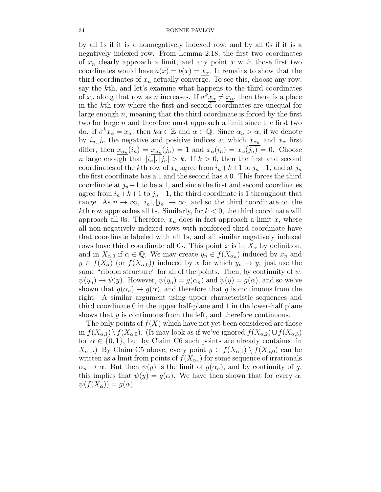by all 1s if it is a nonnegatively indexed row, and by all 0s if it is a negatively indexed row. From Lemma 2.18, the first two coordinates of  $x_n$  clearly approach a limit, and any point x with those first two coordinates would have  $a(x) = b(x) = x_\alpha$ . It remains to show that the third coordinates of  $x_n$  actually converge. To see this, choose any row, say the kth, and let's examine what happens to the third coordinates of  $x_n$  along that row as n increases. If  $\sigma^k x_\alpha \neq x_\alpha$ , then there is a place in the kth row where the first and second coordinates are unequal for large enough  $n$ , meaning that the third coordinate is forced by the first two for large  $n$  and therefore must approach a limit since the first two do. If  $\sigma^k \underline{x}_{\alpha} = \underline{x}_{\alpha}$ , then  $k\alpha \in \mathbb{Z}$  and  $\alpha \in \mathbb{Q}$ . Since  $\alpha_n > \alpha$ , if we denote by  $i_n, j_n$  the negative and positive indices at which  $x_{\alpha_n}$  and  $x_{\alpha}$  first differ, then  $x_{\alpha_n}(i_n) = x_{\alpha_n}(j_n) = 1$  and  $x_{\alpha}(i_n) = x_{\alpha}(j_n) = 0$ . Choose *n* large enough that  $|i_n|, |j_n| > k$ . If  $k > 0$ , then the first and second coordinates of the kth row of  $x_n$  agree from  $i_n+k+1$  to  $j_n-1$ , and at  $j_n$ the first coordinate has a 1 and the second has a 0. This forces the third coordinate at  $j_n-1$  to be a 1, and since the first and second coordinates agree from  $i_n+k+1$  to  $j_n-1$ , the third coordinate is 1 throughout that range. As  $n \to \infty$ ,  $|i_n|, |j_n| \to \infty$ , and so the third coordinate on the kth row approaches all 1s. Similarly, for  $k < 0$ , the third coordinate will approach all 0s. Therefore,  $x_n$  does in fact approach a limit x, where all non-negatively indexed rows with nonforced third coordinate have that coordinate labeled with all 1s, and all similar negatively indexed rows have third coordinate all 0s. This point x is in  $X_{\alpha}$  by definition, and in  $X_{\alpha,0}$  if  $\alpha \in \mathbb{Q}$ . We may create  $y_n \in f(X_{\alpha,n})$  induced by  $x_n$  and  $y \in f(X_{\alpha})$  (or  $f(X_{\alpha,0})$ ) induced by x for which  $y_n \to y$ ; just use the same "ribbon structure" for all of the points. Then, by continuity of  $\psi$ ,  $\psi(y_n) \to \psi(y)$ . However,  $\psi(y_n) = g(\alpha_n)$  and  $\psi(y) = g(\alpha)$ , and so we've shown that  $g(\alpha_n) \to g(\alpha)$ , and therefore that g is continuous from the right. A similar argument using upper characteristic sequences and third coordinate 0 in the upper half-plane and 1 in the lower-half plane shows that  $g$  is continuous from the left, and therefore continuous.

The only points of  $f(X)$  which have not yet been considered are those in  $f(X_{\alpha,1}) \setminus f(X_{\alpha,0})$ . (It may look as if we've ignored  $f(X_{\alpha,2}) \cup f(X_{\alpha,3})$ for  $\alpha \in \{0,1\}$ , but by Claim C6 such points are already contained in  $X_{\alpha,1}$ .) By Claim C5 above, every point  $y \in f(X_{\alpha,1}) \setminus f(X_{\alpha,0})$  can be written as a limit from points of  $f(X_{\alpha_n})$  for some sequence of irrationals  $\alpha_n \to \alpha$ . But then  $\psi(y)$  is the limit of  $g(\alpha_n)$ , and by continuity of g, this implies that  $\psi(y) = g(\alpha)$ . We have then shown that for every  $\alpha$ ,  $\psi(f(X_{\alpha})) = g(\alpha).$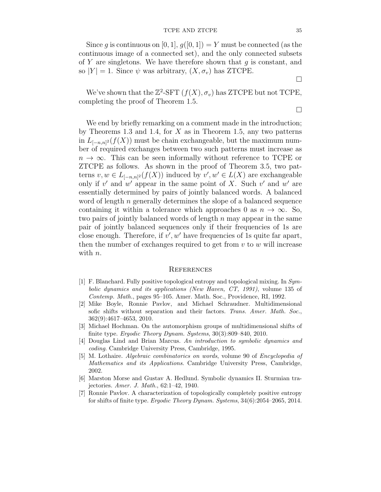#### TCPE AND ZTCPE 35

Since q is continuous on [0, 1],  $q([0, 1]) = Y$  must be connected (as the continuous image of a connected set), and the only connected subsets of Y are singletons. We have therefore shown that  $q$  is constant, and so  $|Y| = 1$ . Since  $\psi$  was arbitrary,  $(X, \sigma_v)$  has ZTCPE.

We've shown that the  $\mathbb{Z}^2$ -SFT  $(f(X), \sigma_v)$  has ZTCPE but not TCPE, completing the proof of Theorem 1.5.

We end by briefly remarking on a comment made in the introduction; by Theorems 1.3 and 1.4, for  $X$  as in Theorem 1.5, any two patterns in  $L_{[-n,n]^2}(f(X))$  must be chain exchangeable, but the maximum number of required exchanges between two such patterns must increase as  $n \to \infty$ . This can be seen informally without reference to TCPE or ZTCPE as follows. As shown in the proof of Theorem 3.5, two patterns  $v, w \in L_{[-n,n]^2}(f(X))$  induced by  $v', w' \in L(X)$  are exchangeable only if  $v'$  and  $w'$  appear in the same point of X. Such  $v'$  and  $w'$  are essentially determined by pairs of jointly balanced words. A balanced word of length n generally determines the slope of a balanced sequence containing it within a tolerance which approaches 0 as  $n \to \infty$ . So, two pairs of jointly balanced words of length  $n$  may appear in the same pair of jointly balanced sequences only if their frequencies of 1s are close enough. Therefore, if  $v', w'$  have frequencies of 1s quite far apart, then the number of exchanges required to get from  $v$  to  $w$  will increase with *n*.

#### **REFERENCES**

- [1] F. Blanchard. Fully positive topological entropy and topological mixing. In Symbolic dynamics and its applications (New Haven, CT, 1991), volume 135 of Contemp. Math., pages 95–105. Amer. Math. Soc., Providence, RI, 1992.
- [2] Mike Boyle, Ronnie Pavlov, and Michael Schraudner. Multidimensional sofic shifts without separation and their factors. Trans. Amer. Math. Soc., 362(9):4617–4653, 2010.
- [3] Michael Hochman. On the automorphism groups of multidimensional shifts of finite type. Ergodic Theory Dynam. Systems, 30(3):809–840, 2010.
- [4] Douglas Lind and Brian Marcus. An introduction to symbolic dynamics and coding. Cambridge University Press, Cambridge, 1995.
- [5] M. Lothaire. Algebraic combinatorics on words, volume 90 of Encyclopedia of Mathematics and its Applications. Cambridge University Press, Cambridge, 2002.
- [6] Marston Morse and Gustav A. Hedlund. Symbolic dynamics II. Sturmian trajectories. Amer. J. Math., 62:1–42, 1940.
- [7] Ronnie Pavlov. A characterization of topologically completely positive entropy for shifts of finite type. Ergodic Theory Dynam. Systems, 34(6):2054–2065, 2014.

 $\Box$ 

 $\Box$